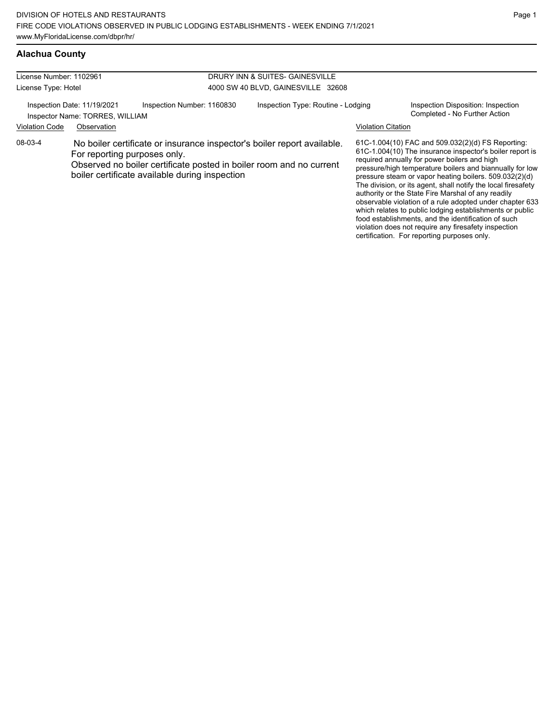| License Number: 1102961<br>DRURY INN & SUITES- GAINESVILLE |                                                                |                                                                                                                                                                                                  |                                    |                           |                                                                                                                                                                                                                                                                                                                                                                                                                                                                        |
|------------------------------------------------------------|----------------------------------------------------------------|--------------------------------------------------------------------------------------------------------------------------------------------------------------------------------------------------|------------------------------------|---------------------------|------------------------------------------------------------------------------------------------------------------------------------------------------------------------------------------------------------------------------------------------------------------------------------------------------------------------------------------------------------------------------------------------------------------------------------------------------------------------|
| License Type: Hotel                                        |                                                                |                                                                                                                                                                                                  | 4000 SW 40 BLVD, GAINESVILLE 32608 |                           |                                                                                                                                                                                                                                                                                                                                                                                                                                                                        |
|                                                            | Inspection Date: 11/19/2021<br>Inspector Name: TORRES, WILLIAM | Inspection Number: 1160830                                                                                                                                                                       | Inspection Type: Routine - Lodging |                           | Inspection Disposition: Inspection<br>Completed - No Further Action                                                                                                                                                                                                                                                                                                                                                                                                    |
| <b>Violation Code</b>                                      | Observation                                                    |                                                                                                                                                                                                  |                                    | <b>Violation Citation</b> |                                                                                                                                                                                                                                                                                                                                                                                                                                                                        |
| 08-03-4                                                    | For reporting purposes only.                                   | No boiler certificate or insurance inspector's boiler report available.<br>Observed no boiler certificate posted in boiler room and no current<br>boiler certificate available during inspection |                                    |                           | 61C-1.004(10) FAC and 509.032(2)(d) FS Reporting:<br>61C-1.004(10) The insurance inspector's boiler report is<br>required annually for power boilers and high<br>pressure/high temperature boilers and biannually for low<br>pressure steam or vapor heating boilers. 509.032(2)(d)<br>The division, or its agent, shall notify the local firesafety<br>authority or the State Fire Marshal of any readily<br>observable violation of a rule adopted under chapter 633 |

which relates to public lodging establishments or public food establishments, and the identification of such violation does not require any firesafety inspection certification. For reporting purposes only.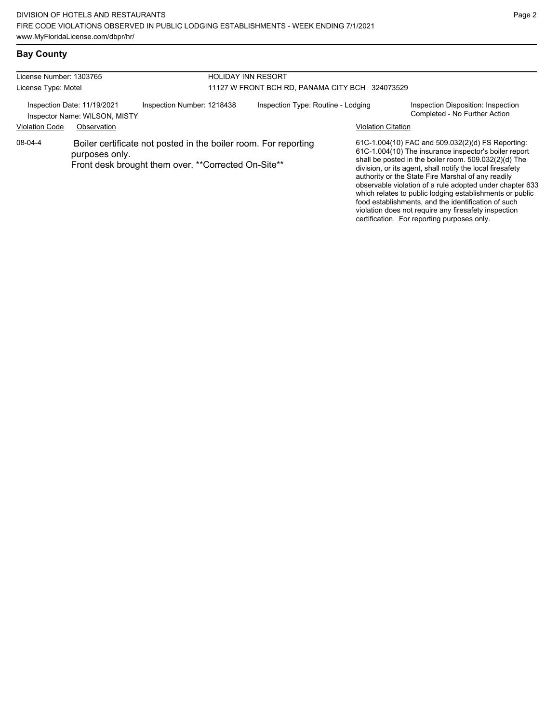### **Bay County**

| License Number: 1303765 |                                                              | <b>HOLIDAY INN RESORT</b>                                                                                              |                                                 |                           |                                                                                                                                                                                                                                                                                                                                                                                                                                                                                                                               |  |  |
|-------------------------|--------------------------------------------------------------|------------------------------------------------------------------------------------------------------------------------|-------------------------------------------------|---------------------------|-------------------------------------------------------------------------------------------------------------------------------------------------------------------------------------------------------------------------------------------------------------------------------------------------------------------------------------------------------------------------------------------------------------------------------------------------------------------------------------------------------------------------------|--|--|
| License Type: Motel     |                                                              |                                                                                                                        | 11127 W FRONT BCH RD, PANAMA CITY BCH 324073529 |                           |                                                                                                                                                                                                                                                                                                                                                                                                                                                                                                                               |  |  |
|                         | Inspection Date: 11/19/2021<br>Inspector Name: WILSON, MISTY | Inspection Number: 1218438                                                                                             | Inspection Type: Routine - Lodging              |                           | Inspection Disposition: Inspection<br>Completed - No Further Action                                                                                                                                                                                                                                                                                                                                                                                                                                                           |  |  |
| <b>Violation Code</b>   | Observation                                                  |                                                                                                                        |                                                 | <b>Violation Citation</b> |                                                                                                                                                                                                                                                                                                                                                                                                                                                                                                                               |  |  |
| 08-04-4                 | purposes only.                                               | Boiler certificate not posted in the boiler room. For reporting<br>Front desk brought them over. **Corrected On-Site** |                                                 |                           | 61C-1.004(10) FAC and 509.032(2)(d) FS Reporting:<br>61C-1.004(10) The insurance inspector's boiler report<br>shall be posted in the boiler room. 509.032(2)(d) The<br>division, or its agent, shall notify the local firesafety<br>authority or the State Fire Marshal of any readily<br>observable violation of a rule adopted under chapter 633<br>which relates to public lodging establishments or public<br>food establishments, and the identification of such<br>violation does not require any firesafety inspection |  |  |

certification. For reporting purposes only.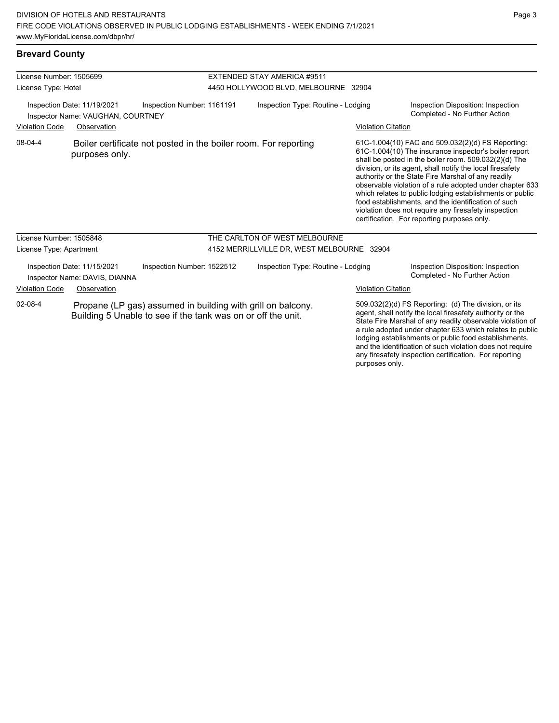### **Brevard County**

| License Number: 1505699                                                                        |                                                              |                                                                                                                             | EXTENDED STAY AMERICA #9511 |                                            |                           |                                                                                                                                                                                                                                                                                                                                                                                                                                                                                                                                                                              |  |
|------------------------------------------------------------------------------------------------|--------------------------------------------------------------|-----------------------------------------------------------------------------------------------------------------------------|-----------------------------|--------------------------------------------|---------------------------|------------------------------------------------------------------------------------------------------------------------------------------------------------------------------------------------------------------------------------------------------------------------------------------------------------------------------------------------------------------------------------------------------------------------------------------------------------------------------------------------------------------------------------------------------------------------------|--|
| License Type: Hotel                                                                            |                                                              |                                                                                                                             |                             | 4450 HOLLYWOOD BLVD, MELBOURNE 32904       |                           |                                                                                                                                                                                                                                                                                                                                                                                                                                                                                                                                                                              |  |
| Inspection Number: 1161191<br>Inspection Date: 11/19/2021<br>Inspector Name: VAUGHAN, COURTNEY |                                                              |                                                                                                                             |                             | Inspection Type: Routine - Lodging         |                           | Inspection Disposition: Inspection<br>Completed - No Further Action                                                                                                                                                                                                                                                                                                                                                                                                                                                                                                          |  |
| <b>Violation Code</b>                                                                          | Observation                                                  |                                                                                                                             |                             |                                            | <b>Violation Citation</b> |                                                                                                                                                                                                                                                                                                                                                                                                                                                                                                                                                                              |  |
| 08-04-4                                                                                        | purposes only.                                               | Boiler certificate not posted in the boiler room. For reporting                                                             |                             |                                            |                           | 61C-1.004(10) FAC and 509.032(2)(d) FS Reporting:<br>61C-1.004(10) The insurance inspector's boiler report<br>shall be posted in the boiler room. 509.032(2)(d) The<br>division, or its agent, shall notify the local firesafety<br>authority or the State Fire Marshal of any readily<br>observable violation of a rule adopted under chapter 633<br>which relates to public lodging establishments or public<br>food establishments, and the identification of such<br>violation does not require any firesafety inspection<br>certification. For reporting purposes only. |  |
| License Number: 1505848                                                                        |                                                              |                                                                                                                             |                             | THE CARLTON OF WEST MELBOURNE              |                           |                                                                                                                                                                                                                                                                                                                                                                                                                                                                                                                                                                              |  |
| License Type: Apartment                                                                        |                                                              |                                                                                                                             |                             | 4152 MERRILLVILLE DR, WEST MELBOURNE 32904 |                           |                                                                                                                                                                                                                                                                                                                                                                                                                                                                                                                                                                              |  |
|                                                                                                | Inspection Date: 11/15/2021<br>Inspector Name: DAVIS, DIANNA | Inspection Number: 1522512                                                                                                  |                             | Inspection Type: Routine - Lodging         |                           | Inspection Disposition: Inspection<br>Completed - No Further Action                                                                                                                                                                                                                                                                                                                                                                                                                                                                                                          |  |
| <b>Violation Code</b>                                                                          | Observation                                                  |                                                                                                                             |                             |                                            | <b>Violation Citation</b> |                                                                                                                                                                                                                                                                                                                                                                                                                                                                                                                                                                              |  |
| 02-08-4                                                                                        |                                                              | Propane (LP gas) assumed in building with grill on balcony.<br>Building 5 Unable to see if the tank was on or off the unit. |                             |                                            |                           | 509.032(2)(d) FS Reporting: (d) The division, or its<br>agent, shall notify the local firesafety authority or the<br>State Fire Marshal of any readily observable violation of<br>a rule adopted under chapter 633 which relates to public<br>lodging establishments or public food establishments,<br>and the identification of such violation does not require                                                                                                                                                                                                             |  |

any firesafety inspection certification. For reporting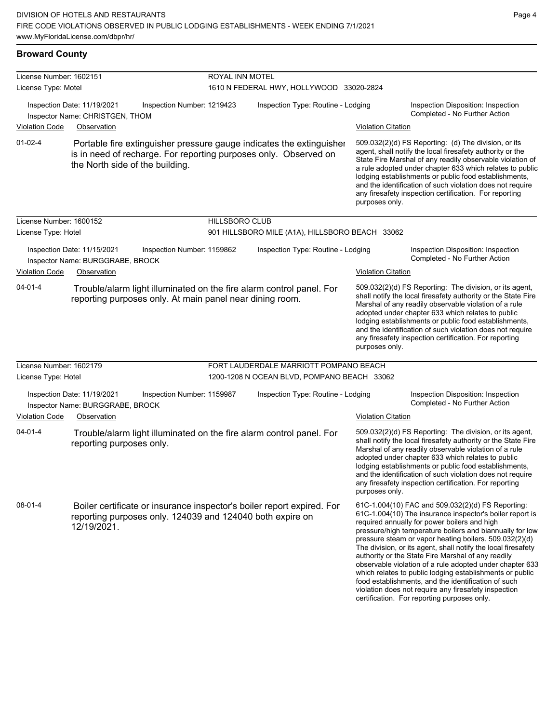### **Broward County**

| License Number: 1602151 |                                                                                                                                                                             |                       | ROYAL INN MOTEL                                 |                           |                                                                                                                                                                                                                                                                                                                                                                                                                                                                                                                                                                                                                                                                                                  |  |  |
|-------------------------|-----------------------------------------------------------------------------------------------------------------------------------------------------------------------------|-----------------------|-------------------------------------------------|---------------------------|--------------------------------------------------------------------------------------------------------------------------------------------------------------------------------------------------------------------------------------------------------------------------------------------------------------------------------------------------------------------------------------------------------------------------------------------------------------------------------------------------------------------------------------------------------------------------------------------------------------------------------------------------------------------------------------------------|--|--|
| License Type: Motel     |                                                                                                                                                                             |                       | 1610 N FEDERAL HWY, HOLLYWOOD 33020-2824        |                           |                                                                                                                                                                                                                                                                                                                                                                                                                                                                                                                                                                                                                                                                                                  |  |  |
|                         | Inspection Date: 11/19/2021<br>Inspection Number: 1219423<br>Inspector Name: CHRISTGEN, THOM                                                                                |                       | Inspection Type: Routine - Lodging              |                           | Inspection Disposition: Inspection<br>Completed - No Further Action                                                                                                                                                                                                                                                                                                                                                                                                                                                                                                                                                                                                                              |  |  |
| <b>Violation Code</b>   | Observation                                                                                                                                                                 |                       |                                                 | <b>Violation Citation</b> |                                                                                                                                                                                                                                                                                                                                                                                                                                                                                                                                                                                                                                                                                                  |  |  |
| $01-02-4$               | Portable fire extinguisher pressure gauge indicates the extinguisher<br>is in need of recharge. For reporting purposes only. Observed on<br>the North side of the building. |                       |                                                 | purposes only.            | 509.032(2)(d) FS Reporting: (d) The division, or its<br>agent, shall notify the local firesafety authority or the<br>State Fire Marshal of any readily observable violation of<br>a rule adopted under chapter 633 which relates to public<br>lodging establishments or public food establishments,<br>and the identification of such violation does not require<br>any firesafety inspection certification. For reporting                                                                                                                                                                                                                                                                       |  |  |
| License Number: 1600152 |                                                                                                                                                                             | <b>HILLSBORO CLUB</b> |                                                 |                           |                                                                                                                                                                                                                                                                                                                                                                                                                                                                                                                                                                                                                                                                                                  |  |  |
| License Type: Hotel     |                                                                                                                                                                             |                       | 901 HILLSBORO MILE (A1A), HILLSBORO BEACH 33062 |                           |                                                                                                                                                                                                                                                                                                                                                                                                                                                                                                                                                                                                                                                                                                  |  |  |
|                         | Inspection Date: 11/15/2021<br>Inspection Number: 1159862<br>Inspector Name: BURGGRABE, BROCK                                                                               |                       | Inspection Type: Routine - Lodging              |                           | Inspection Disposition: Inspection<br>Completed - No Further Action                                                                                                                                                                                                                                                                                                                                                                                                                                                                                                                                                                                                                              |  |  |
| Violation Code          | Observation                                                                                                                                                                 |                       |                                                 | <b>Violation Citation</b> |                                                                                                                                                                                                                                                                                                                                                                                                                                                                                                                                                                                                                                                                                                  |  |  |
| $04 - 01 - 4$           | Trouble/alarm light illuminated on the fire alarm control panel. For<br>reporting purposes only. At main panel near dining room.                                            |                       |                                                 | purposes only.            | 509.032(2)(d) FS Reporting: The division, or its agent,<br>shall notify the local firesafety authority or the State Fire<br>Marshal of any readily observable violation of a rule<br>adopted under chapter 633 which relates to public<br>lodging establishments or public food establishments,<br>and the identification of such violation does not require<br>any firesafety inspection certification. For reporting                                                                                                                                                                                                                                                                           |  |  |
| License Number: 1602179 |                                                                                                                                                                             |                       | FORT LAUDERDALE MARRIOTT POMPANO BEACH          |                           |                                                                                                                                                                                                                                                                                                                                                                                                                                                                                                                                                                                                                                                                                                  |  |  |
| License Type: Hotel     |                                                                                                                                                                             |                       | 1200-1208 N OCEAN BLVD, POMPANO BEACH 33062     |                           |                                                                                                                                                                                                                                                                                                                                                                                                                                                                                                                                                                                                                                                                                                  |  |  |
|                         | Inspection Date: 11/19/2021<br>Inspection Number: 1159987<br>Inspector Name: BURGGRABE, BROCK                                                                               |                       | Inspection Type: Routine - Lodging              |                           | Inspection Disposition: Inspection<br>Completed - No Further Action                                                                                                                                                                                                                                                                                                                                                                                                                                                                                                                                                                                                                              |  |  |
| Violation Code          | Observation                                                                                                                                                                 |                       |                                                 | <b>Violation Citation</b> |                                                                                                                                                                                                                                                                                                                                                                                                                                                                                                                                                                                                                                                                                                  |  |  |
| $04 - 01 - 4$           | Trouble/alarm light illuminated on the fire alarm control panel. For<br>reporting purposes only.                                                                            |                       |                                                 | purposes only.            | 509.032(2)(d) FS Reporting: The division, or its agent,<br>shall notify the local firesafety authority or the State Fire<br>Marshal of any readily observable violation of a rule<br>adopted under chapter 633 which relates to public<br>lodging establishments or public food establishments,<br>and the identification of such violation does not require<br>any firesafety inspection certification. For reporting                                                                                                                                                                                                                                                                           |  |  |
| $08-01-4$               | Boiler certificate or insurance inspector's boiler report expired. For<br>reporting purposes only. 124039 and 124040 both expire on<br>12/19/2021.                          |                       |                                                 |                           | 61C-1.004(10) FAC and 509.032(2)(d) FS Reporting:<br>61C-1.004(10) The insurance inspector's boiler report is<br>required annually for power boilers and high<br>pressure/high temperature boilers and biannually for low<br>pressure steam or vapor heating boilers. 509.032(2)(d)<br>The division, or its agent, shall notify the local firesafety<br>authority or the State Fire Marshal of any readily<br>observable violation of a rule adopted under chapter 633<br>which relates to public lodging establishments or public<br>food establishments, and the identification of such<br>violation does not require any firesafety inspection<br>certification. For reporting purposes only. |  |  |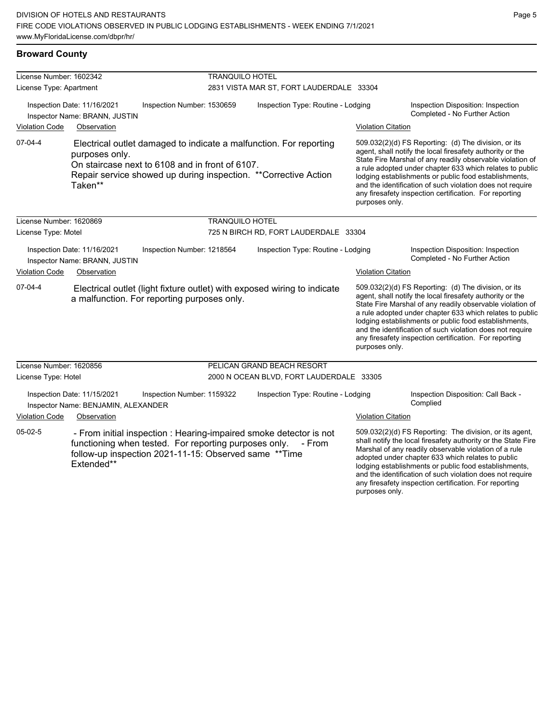| License Number: 1602342<br>License Type: Apartment |                                                                                                                               |                            | <b>TRANQUILO HOTEL</b><br>2831 VISTA MAR ST, FORT LAUDERDALE 33304 |                                                                                                                                       |                           |                                                                                                                                                                                                                                                                                                                                                                                                                            |  |
|----------------------------------------------------|-------------------------------------------------------------------------------------------------------------------------------|----------------------------|--------------------------------------------------------------------|---------------------------------------------------------------------------------------------------------------------------------------|---------------------------|----------------------------------------------------------------------------------------------------------------------------------------------------------------------------------------------------------------------------------------------------------------------------------------------------------------------------------------------------------------------------------------------------------------------------|--|
|                                                    | Inspection Date: 11/16/2021                                                                                                   | Inspection Number: 1530659 |                                                                    | Inspection Type: Routine - Lodging                                                                                                    |                           | Inspection Disposition: Inspection<br>Completed - No Further Action                                                                                                                                                                                                                                                                                                                                                        |  |
| <b>Violation Code</b>                              | Inspector Name: BRANN, JUSTIN<br>Observation                                                                                  |                            |                                                                    |                                                                                                                                       | <b>Violation Citation</b> |                                                                                                                                                                                                                                                                                                                                                                                                                            |  |
| $07-04-4$                                          | purposes only.<br>On staircase next to 6108 and in front of 6107.<br>Taken**                                                  |                            |                                                                    | Electrical outlet damaged to indicate a malfunction. For reporting<br>Repair service showed up during inspection. **Corrective Action | purposes only.            | 509.032(2)(d) FS Reporting: (d) The division, or its<br>agent, shall notify the local firesafety authority or the<br>State Fire Marshal of any readily observable violation of<br>a rule adopted under chapter 633 which relates to public<br>lodging establishments or public food establishments,<br>and the identification of such violation does not require<br>any firesafety inspection certification. For reporting |  |
| License Number: 1620869                            |                                                                                                                               |                            | <b>TRANQUILO HOTEL</b>                                             |                                                                                                                                       |                           |                                                                                                                                                                                                                                                                                                                                                                                                                            |  |
| License Type: Motel                                |                                                                                                                               |                            |                                                                    | 725 N BIRCH RD, FORT LAUDERDALE 33304                                                                                                 |                           |                                                                                                                                                                                                                                                                                                                                                                                                                            |  |
|                                                    | Inspection Date: 11/16/2021<br>Inspector Name: BRANN, JUSTIN                                                                  | Inspection Number: 1218564 |                                                                    | Inspection Type: Routine - Lodging                                                                                                    |                           | Inspection Disposition: Inspection<br>Completed - No Further Action                                                                                                                                                                                                                                                                                                                                                        |  |
| <b>Violation Code</b>                              | Observation                                                                                                                   |                            |                                                                    |                                                                                                                                       | <b>Violation Citation</b> |                                                                                                                                                                                                                                                                                                                                                                                                                            |  |
| 07-04-4                                            | a malfunction. For reporting purposes only.                                                                                   |                            |                                                                    | Electrical outlet (light fixture outlet) with exposed wiring to indicate                                                              | purposes only.            | 509.032(2)(d) FS Reporting: (d) The division, or its<br>agent, shall notify the local firesafety authority or the<br>State Fire Marshal of any readily observable violation of<br>a rule adopted under chapter 633 which relates to public<br>lodging establishments or public food establishments,<br>and the identification of such violation does not require<br>any firesafety inspection certification. For reporting |  |
| License Number: 1620856                            |                                                                                                                               |                            |                                                                    | PELICAN GRAND BEACH RESORT                                                                                                            |                           |                                                                                                                                                                                                                                                                                                                                                                                                                            |  |
| License Type: Hotel                                |                                                                                                                               |                            |                                                                    | 2000 N OCEAN BLVD, FORT LAUDERDALE 33305                                                                                              |                           |                                                                                                                                                                                                                                                                                                                                                                                                                            |  |
|                                                    | Inspection Date: 11/15/2021<br>Inspector Name: BENJAMIN, ALEXANDER                                                            | Inspection Number: 1159322 |                                                                    | Inspection Type: Routine - Lodging                                                                                                    |                           | Inspection Disposition: Call Back -<br>Complied                                                                                                                                                                                                                                                                                                                                                                            |  |
| <b>Violation Code</b>                              | Observation                                                                                                                   |                            |                                                                    |                                                                                                                                       | <b>Violation Citation</b> |                                                                                                                                                                                                                                                                                                                                                                                                                            |  |
| $05-02-5$                                          | functioning when tested. For reporting purposes only.<br>follow-up inspection 2021-11-15: Observed same ** Time<br>Extended** |                            |                                                                    | - From initial inspection : Hearing-impaired smoke detector is not<br>- From                                                          |                           | 509.032(2)(d) FS Reporting: The division, or its agent,<br>shall notify the local firesafety authority or the State Fire<br>Marshal of any readily observable violation of a rule<br>adopted under chapter 633 which relates to public<br>lodging establishments or public food establishments,<br>and the identification of such violation does not require<br>any firesafety inspection certification. For reporting     |  |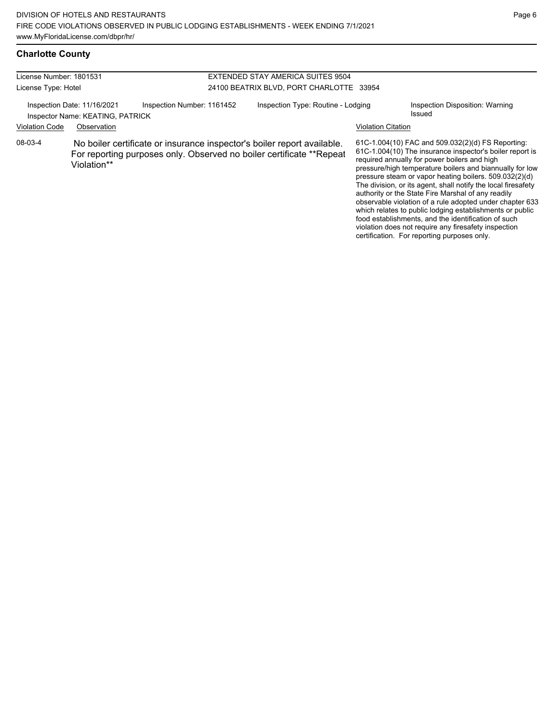#### License Number: 1801531 License Type: Hotel EXTENDED STAY AMERICA SUITES 9504 24100 BEATRIX BLVD, PORT CHARLOTTE 33954 Inspection Date: 11/16/2021 Inspection Number: 1161452 Inspection Type: Routine - Lodging Inspection Disposition: Warning Inspector Name: KEATING, PATRICK **Inspector Name: KEATING**, PATRICK Violation Code Observation Violation Citation 61C-1.004(10) FAC and 509.032(2)(d) FS Reporting: 61C-1.004(10) The insurance inspector's boiler report is required annually for power boilers and high pressure/high temperature boilers and biannually for low pressure steam or vapor heating boilers. 509.032(2)(d) The division, or its agent, shall notify the local firesafety authority or the State Fire Marshal of any readily observable violation of a rule adopted under chapter 633 which relates to public lodging establishments or public food establishments, and the identification of such 08-03-4 No boiler certificate or insurance inspector's boiler report available. For reporting purposes only. Observed no boiler certificate \*\*Repeat Violation\*\*

violation does not require any firesafety inspection certification. For reporting purposes only.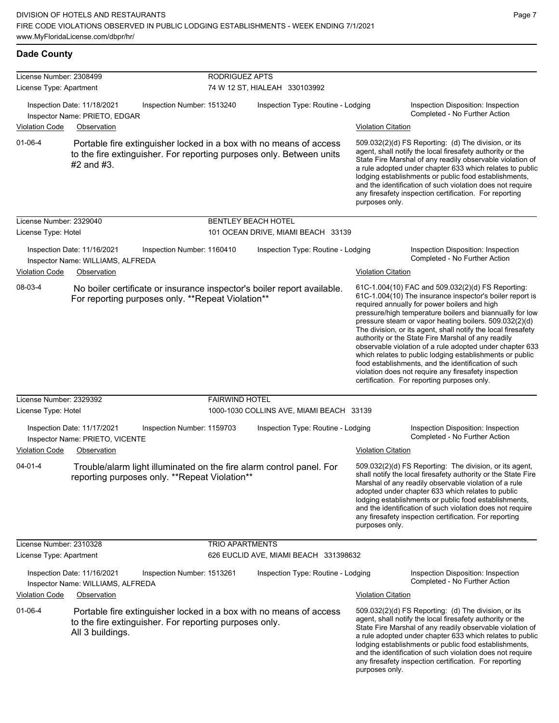**Dade County**

| License Number: 2308499 |                                                                                 |                                                        | <b>RODRIGUEZ APTS</b>              |                                                                                                                                            |                           |                                                                                                                                                                                                                                                                                                                                                                                                                                                                                                                                                                                                                                                                                                  |
|-------------------------|---------------------------------------------------------------------------------|--------------------------------------------------------|------------------------------------|--------------------------------------------------------------------------------------------------------------------------------------------|---------------------------|--------------------------------------------------------------------------------------------------------------------------------------------------------------------------------------------------------------------------------------------------------------------------------------------------------------------------------------------------------------------------------------------------------------------------------------------------------------------------------------------------------------------------------------------------------------------------------------------------------------------------------------------------------------------------------------------------|
| License Type: Apartment |                                                                                 | 74 W 12 ST, HIALEAH 330103992                          |                                    |                                                                                                                                            |                           |                                                                                                                                                                                                                                                                                                                                                                                                                                                                                                                                                                                                                                                                                                  |
|                         | Inspection Date: 11/18/2021<br>Inspector Name: PRIETO, EDGAR                    | Inspection Number: 1513240                             | Inspection Type: Routine - Lodging |                                                                                                                                            |                           | Inspection Disposition: Inspection<br>Completed - No Further Action                                                                                                                                                                                                                                                                                                                                                                                                                                                                                                                                                                                                                              |
| <b>Violation Code</b>   | Observation                                                                     |                                                        |                                    |                                                                                                                                            | <b>Violation Citation</b> |                                                                                                                                                                                                                                                                                                                                                                                                                                                                                                                                                                                                                                                                                                  |
| $01 - 06 - 4$           | $#2$ and $#3$ .                                                                 |                                                        |                                    | Portable fire extinguisher locked in a box with no means of access<br>to the fire extinguisher. For reporting purposes only. Between units | purposes only.            | 509.032(2)(d) FS Reporting: (d) The division, or its<br>agent, shall notify the local firesafety authority or the<br>State Fire Marshal of any readily observable violation of<br>a rule adopted under chapter 633 which relates to public<br>lodging establishments or public food establishments,<br>and the identification of such violation does not require<br>any firesafety inspection certification. For reporting                                                                                                                                                                                                                                                                       |
| License Number: 2329040 |                                                                                 |                                                        |                                    | <b>BENTLEY BEACH HOTEL</b>                                                                                                                 |                           |                                                                                                                                                                                                                                                                                                                                                                                                                                                                                                                                                                                                                                                                                                  |
| License Type: Hotel     |                                                                                 |                                                        |                                    | 101 OCEAN DRIVE, MIAMI BEACH 33139                                                                                                         |                           |                                                                                                                                                                                                                                                                                                                                                                                                                                                                                                                                                                                                                                                                                                  |
| Violation Code          | Inspection Date: 11/16/2021<br>Inspector Name: WILLIAMS, ALFREDA<br>Observation | Inspection Number: 1160410                             |                                    | Inspection Type: Routine - Lodging                                                                                                         | <b>Violation Citation</b> | Inspection Disposition: Inspection<br>Completed - No Further Action                                                                                                                                                                                                                                                                                                                                                                                                                                                                                                                                                                                                                              |
| 08-03-4                 |                                                                                 | For reporting purposes only. **Repeat Violation**      |                                    | No boiler certificate or insurance inspector's boiler report available.                                                                    |                           | 61C-1.004(10) FAC and 509.032(2)(d) FS Reporting:<br>61C-1.004(10) The insurance inspector's boiler report is<br>required annually for power boilers and high<br>pressure/high temperature boilers and biannually for low<br>pressure steam or vapor heating boilers. 509.032(2)(d)<br>The division, or its agent, shall notify the local firesafety<br>authority or the State Fire Marshal of any readily<br>observable violation of a rule adopted under chapter 633<br>which relates to public lodging establishments or public<br>food establishments, and the identification of such<br>violation does not require any firesafety inspection<br>certification. For reporting purposes only. |
| License Number: 2329392 |                                                                                 |                                                        | <b>FAIRWIND HOTEL</b>              |                                                                                                                                            |                           |                                                                                                                                                                                                                                                                                                                                                                                                                                                                                                                                                                                                                                                                                                  |
| License Type: Hotel     |                                                                                 |                                                        |                                    | 1000-1030 COLLINS AVE, MIAMI BEACH 33139                                                                                                   |                           |                                                                                                                                                                                                                                                                                                                                                                                                                                                                                                                                                                                                                                                                                                  |
| <b>Violation Code</b>   | Inspection Date: 11/17/2021<br>Inspector Name: PRIETO, VICENTE<br>Observation   | Inspection Number: 1159703                             |                                    | Inspection Type: Routine - Lodging                                                                                                         | <b>Violation Citation</b> | Inspection Disposition: Inspection<br>Completed - No Further Action                                                                                                                                                                                                                                                                                                                                                                                                                                                                                                                                                                                                                              |
| $04 - 01 - 4$           |                                                                                 | reporting purposes only. **Repeat Violation**          |                                    | Trouble/alarm light illuminated on the fire alarm control panel. For                                                                       | purposes only.            | 509.032(2)(d) FS Reporting: The division, or its agent,<br>shall notify the local firesafety authority or the State Fire<br>Marshal of any readily observable violation of a rule<br>adopted under chapter 633 which relates to public<br>lodging establishments or public food establishments,<br>and the identification of such violation does not require<br>any firesafety inspection certification. For reporting                                                                                                                                                                                                                                                                           |
| License Number: 2310328 |                                                                                 |                                                        | <b>TRIO APARTMENTS</b>             |                                                                                                                                            |                           |                                                                                                                                                                                                                                                                                                                                                                                                                                                                                                                                                                                                                                                                                                  |
| License Type: Apartment |                                                                                 |                                                        |                                    | 626 EUCLID AVE, MIAMI BEACH 331398632                                                                                                      |                           |                                                                                                                                                                                                                                                                                                                                                                                                                                                                                                                                                                                                                                                                                                  |
|                         | Inspection Date: 11/16/2021<br>Inspector Name: WILLIAMS, ALFREDA                | Inspection Number: 1513261                             |                                    | Inspection Type: Routine - Lodging                                                                                                         |                           | Inspection Disposition: Inspection<br>Completed - No Further Action                                                                                                                                                                                                                                                                                                                                                                                                                                                                                                                                                                                                                              |
| <b>Violation Code</b>   | Observation                                                                     |                                                        |                                    |                                                                                                                                            | <b>Violation Citation</b> |                                                                                                                                                                                                                                                                                                                                                                                                                                                                                                                                                                                                                                                                                                  |
| $01 - 06 - 4$           | All 3 buildings.                                                                | to the fire extinguisher. For reporting purposes only. |                                    | Portable fire extinguisher locked in a box with no means of access                                                                         | purposes only.            | 509.032(2)(d) FS Reporting: (d) The division, or its<br>agent, shall notify the local firesafety authority or the<br>State Fire Marshal of any readily observable violation of<br>a rule adopted under chapter 633 which relates to public<br>lodging establishments or public food establishments,<br>and the identification of such violation does not require<br>any firesafety inspection certification. For reporting                                                                                                                                                                                                                                                                       |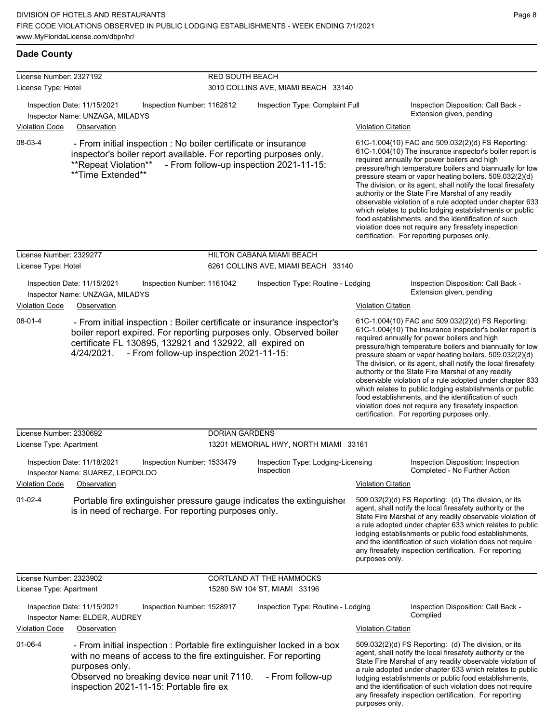| <b>Dade County</b>                             |                                                                                                                                                                                                                                                       |                                         |                                                  |                           |                                                                                                                                                                                                                                                                                                                                                                                                                                                                                                                                                                                                                                                                                                  |
|------------------------------------------------|-------------------------------------------------------------------------------------------------------------------------------------------------------------------------------------------------------------------------------------------------------|-----------------------------------------|--------------------------------------------------|---------------------------|--------------------------------------------------------------------------------------------------------------------------------------------------------------------------------------------------------------------------------------------------------------------------------------------------------------------------------------------------------------------------------------------------------------------------------------------------------------------------------------------------------------------------------------------------------------------------------------------------------------------------------------------------------------------------------------------------|
| License Number: 2327192<br>License Type: Hotel |                                                                                                                                                                                                                                                       | <b>RED SOUTH BEACH</b>                  | 3010 COLLINS AVE, MIAMI BEACH 33140              |                           |                                                                                                                                                                                                                                                                                                                                                                                                                                                                                                                                                                                                                                                                                                  |
| <b>Violation Code</b>                          | Inspection Date: 11/15/2021<br>Inspector Name: UNZAGA, MILADYS                                                                                                                                                                                        | Inspection Number: 1162812              | Inspection Type: Complaint Full                  |                           | Inspection Disposition: Call Back -<br>Extension given, pending                                                                                                                                                                                                                                                                                                                                                                                                                                                                                                                                                                                                                                  |
| 08-03-4                                        | Observation<br>- From initial inspection : No boiler certificate or insurance<br>inspector's boiler report available. For reporting purposes only.<br>**Repeat Violation**<br>**Time Extended**                                                       |                                         | - From follow-up inspection 2021-11-15:          | <b>Violation Citation</b> | 61C-1.004(10) FAC and 509.032(2)(d) FS Reporting:<br>61C-1.004(10) The insurance inspector's boiler report is<br>required annually for power boilers and high<br>pressure/high temperature boilers and biannually for low<br>pressure steam or vapor heating boilers. 509.032(2)(d)<br>The division, or its agent, shall notify the local firesafety<br>authority or the State Fire Marshal of any readily<br>observable violation of a rule adopted under chapter 633<br>which relates to public lodging establishments or public<br>food establishments, and the identification of such<br>violation does not require any firesafety inspection<br>certification. For reporting purposes only. |
| License Number: 2329277                        |                                                                                                                                                                                                                                                       |                                         | HILTON CABANA MIAMI BEACH                        |                           |                                                                                                                                                                                                                                                                                                                                                                                                                                                                                                                                                                                                                                                                                                  |
| License Type: Hotel                            |                                                                                                                                                                                                                                                       |                                         | 6261 COLLINS AVE, MIAMI BEACH 33140              |                           |                                                                                                                                                                                                                                                                                                                                                                                                                                                                                                                                                                                                                                                                                                  |
| <b>Violation Code</b>                          | Inspection Date: 11/15/2021<br>Inspector Name: UNZAGA, MILADYS<br>Observation                                                                                                                                                                         | Inspection Number: 1161042              | Inspection Type: Routine - Lodging               | <b>Violation Citation</b> | Inspection Disposition: Call Back -<br>Extension given, pending                                                                                                                                                                                                                                                                                                                                                                                                                                                                                                                                                                                                                                  |
| 08-01-4                                        | - From initial inspection : Boiler certificate or insurance inspector's<br>boiler report expired. For reporting purposes only. Observed boiler<br>certificate FL 130895, 132921 and 132922, all expired on<br>4/24/2021.                              | - From follow-up inspection 2021-11-15: |                                                  |                           | 61C-1.004(10) FAC and 509.032(2)(d) FS Reporting:<br>61C-1.004(10) The insurance inspector's boiler report is<br>required annually for power boilers and high<br>pressure/high temperature boilers and biannually for low<br>pressure steam or vapor heating boilers. 509.032(2)(d)<br>The division, or its agent, shall notify the local firesafety<br>authority or the State Fire Marshal of any readily<br>observable violation of a rule adopted under chapter 633<br>which relates to public lodging establishments or public<br>food establishments, and the identification of such<br>violation does not require any firesafety inspection<br>certification. For reporting purposes only. |
| License Number: 2330692                        |                                                                                                                                                                                                                                                       | <b>DORIAN GARDENS</b>                   |                                                  |                           |                                                                                                                                                                                                                                                                                                                                                                                                                                                                                                                                                                                                                                                                                                  |
| License Type: Apartment                        |                                                                                                                                                                                                                                                       |                                         | 13201 MEMORIAL HWY, NORTH MIAMI 33161            |                           |                                                                                                                                                                                                                                                                                                                                                                                                                                                                                                                                                                                                                                                                                                  |
| <b>Violation Code</b>                          | Inspection Date: 11/18/2021<br>Inspector Name: SUAREZ, LEOPOLDO<br>Observation                                                                                                                                                                        | Inspection Number: 1533479              | Inspection Type: Lodging-Licensing<br>Inspection | <b>Violation Citation</b> | Inspection Disposition: Inspection<br>Completed - No Further Action                                                                                                                                                                                                                                                                                                                                                                                                                                                                                                                                                                                                                              |
| $01 - 02 - 4$                                  | Portable fire extinguisher pressure gauge indicates the extinguisher<br>is in need of recharge. For reporting purposes only.                                                                                                                          |                                         |                                                  | purposes only.            | 509.032(2)(d) FS Reporting: (d) The division, or its<br>agent, shall notify the local firesafety authority or the<br>State Fire Marshal of any readily observable violation of<br>a rule adopted under chapter 633 which relates to public<br>lodging establishments or public food establishments,<br>and the identification of such violation does not require<br>any firesafety inspection certification. For reporting                                                                                                                                                                                                                                                                       |
| License Number: 2323902                        |                                                                                                                                                                                                                                                       |                                         | CORTLAND AT THE HAMMOCKS                         |                           |                                                                                                                                                                                                                                                                                                                                                                                                                                                                                                                                                                                                                                                                                                  |
| License Type: Apartment                        |                                                                                                                                                                                                                                                       |                                         | 15280 SW 104 ST, MIAMI 33196                     |                           |                                                                                                                                                                                                                                                                                                                                                                                                                                                                                                                                                                                                                                                                                                  |
| <b>Violation Code</b>                          | Inspection Date: 11/15/2021<br>Inspector Name: ELDER, AUDREY<br>Observation                                                                                                                                                                           | Inspection Number: 1528917              | Inspection Type: Routine - Lodging               | <b>Violation Citation</b> | Inspection Disposition: Call Back -<br>Complied                                                                                                                                                                                                                                                                                                                                                                                                                                                                                                                                                                                                                                                  |
| $01 - 06 - 4$                                  | - From initial inspection : Portable fire extinguisher locked in a box<br>with no means of access to the fire extinguisher. For reporting<br>purposes only.<br>Observed no breaking device near unit 7110.<br>inspection 2021-11-15: Portable fire ex |                                         | - From follow-up                                 |                           | 509.032(2)(d) FS Reporting: (d) The division, or its<br>agent, shall notify the local firesafety authority or the<br>State Fire Marshal of any readily observable violation of<br>a rule adopted under chapter 633 which relates to public<br>lodging establishments or public food establishments,<br>and the identification of such violation does not require<br>any firesafety inspection certification. For reporting                                                                                                                                                                                                                                                                       |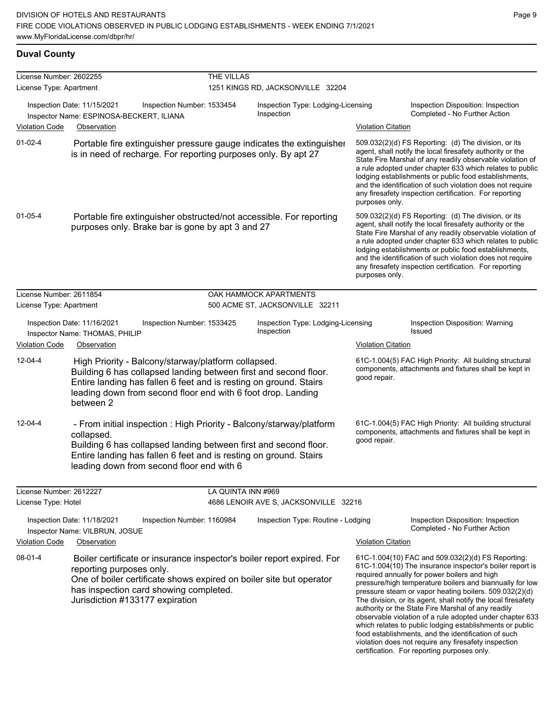### **Duval County**

| License Number: 2602255 |                                                                                                                                                                                                                                                                           | THE VILLAS                 |                                                                        |                           |                                                                                                                                                                                                                                                                                                                                                                                                                                                                                                                                                                                                                                                   |
|-------------------------|---------------------------------------------------------------------------------------------------------------------------------------------------------------------------------------------------------------------------------------------------------------------------|----------------------------|------------------------------------------------------------------------|---------------------------|---------------------------------------------------------------------------------------------------------------------------------------------------------------------------------------------------------------------------------------------------------------------------------------------------------------------------------------------------------------------------------------------------------------------------------------------------------------------------------------------------------------------------------------------------------------------------------------------------------------------------------------------------|
| License Type: Apartment |                                                                                                                                                                                                                                                                           |                            | 1251 KINGS RD, JACKSONVILLE 32204                                      |                           |                                                                                                                                                                                                                                                                                                                                                                                                                                                                                                                                                                                                                                                   |
| <b>Violation Code</b>   | Inspection Date: 11/15/2021<br>Inspector Name: ESPINOSA-BECKERT, ILIANA<br>Observation                                                                                                                                                                                    | Inspection Number: 1533454 | Inspection Type: Lodging-Licensing<br>Inspection                       | <b>Violation Citation</b> | Inspection Disposition: Inspection<br>Completed - No Further Action                                                                                                                                                                                                                                                                                                                                                                                                                                                                                                                                                                               |
|                         |                                                                                                                                                                                                                                                                           |                            |                                                                        |                           |                                                                                                                                                                                                                                                                                                                                                                                                                                                                                                                                                                                                                                                   |
| $01 - 02 - 4$           | is in need of recharge. For reporting purposes only. By apt 27                                                                                                                                                                                                            |                            | Portable fire extinguisher pressure gauge indicates the extinguisher   | purposes only.            | 509.032(2)(d) FS Reporting: (d) The division, or its<br>agent, shall notify the local firesafety authority or the<br>State Fire Marshal of any readily observable violation of<br>a rule adopted under chapter 633 which relates to public<br>lodging establishments or public food establishments,<br>and the identification of such violation does not require<br>any firesafety inspection certification. For reporting                                                                                                                                                                                                                        |
| $01 - 05 - 4$           | purposes only. Brake bar is gone by apt 3 and 27                                                                                                                                                                                                                          |                            | Portable fire extinguisher obstructed/not accessible. For reporting    | purposes only.            | 509.032(2)(d) FS Reporting: (d) The division, or its<br>agent, shall notify the local firesafety authority or the<br>State Fire Marshal of any readily observable violation of<br>a rule adopted under chapter 633 which relates to public<br>lodging establishments or public food establishments,<br>and the identification of such violation does not require<br>any firesafety inspection certification. For reporting                                                                                                                                                                                                                        |
| License Number: 2611854 |                                                                                                                                                                                                                                                                           |                            | OAK HAMMOCK APARTMENTS                                                 |                           |                                                                                                                                                                                                                                                                                                                                                                                                                                                                                                                                                                                                                                                   |
| License Type: Apartment |                                                                                                                                                                                                                                                                           |                            | 500 ACME ST, JACKSONVILLE 32211                                        |                           |                                                                                                                                                                                                                                                                                                                                                                                                                                                                                                                                                                                                                                                   |
|                         | Inspection Date: 11/16/2021<br>Inspector Name: THOMAS, PHILIP                                                                                                                                                                                                             | Inspection Number: 1533425 | Inspection Type: Lodging-Licensing<br>Inspection                       |                           | Inspection Disposition: Warning<br><b>Issued</b>                                                                                                                                                                                                                                                                                                                                                                                                                                                                                                                                                                                                  |
| <b>Violation Code</b>   | Observation                                                                                                                                                                                                                                                               |                            |                                                                        | <b>Violation Citation</b> |                                                                                                                                                                                                                                                                                                                                                                                                                                                                                                                                                                                                                                                   |
| $12 - 04 - 4$           | High Priority - Balcony/starway/platform collapsed.<br>Building 6 has collapsed landing between first and second floor.<br>Entire landing has fallen 6 feet and is resting on ground. Stairs<br>leading down from second floor end with 6 foot drop. Landing<br>between 2 |                            |                                                                        | good repair.              | 61C-1.004(5) FAC High Priority: All building structural<br>components, attachments and fixtures shall be kept in                                                                                                                                                                                                                                                                                                                                                                                                                                                                                                                                  |
| $12 - 04 - 4$           | collapsed.<br>Building 6 has collapsed landing between first and second floor.<br>Entire landing has fallen 6 feet and is resting on ground. Stairs<br>leading down from second floor end with 6                                                                          |                            | - From initial inspection : High Priority - Balcony/starway/platform   | good repair.              | 61C-1.004(5) FAC High Priority: All building structural<br>components, attachments and fixtures shall be kept in                                                                                                                                                                                                                                                                                                                                                                                                                                                                                                                                  |
| License Number: 2612227 |                                                                                                                                                                                                                                                                           | LA QUINTA INN #969         |                                                                        |                           |                                                                                                                                                                                                                                                                                                                                                                                                                                                                                                                                                                                                                                                   |
| License Type: Hotel     |                                                                                                                                                                                                                                                                           |                            | 4686 LENOIR AVE S, JACKSONVILLE 32216                                  |                           |                                                                                                                                                                                                                                                                                                                                                                                                                                                                                                                                                                                                                                                   |
|                         | Inspection Date: 11/18/2021<br>Inspector Name: VILBRUN, JOSUE                                                                                                                                                                                                             | Inspection Number: 1160984 | Inspection Type: Routine - Lodging                                     |                           | Inspection Disposition: Inspection<br>Completed - No Further Action                                                                                                                                                                                                                                                                                                                                                                                                                                                                                                                                                                               |
| <b>Violation Code</b>   | Observation                                                                                                                                                                                                                                                               |                            |                                                                        | <b>Violation Citation</b> |                                                                                                                                                                                                                                                                                                                                                                                                                                                                                                                                                                                                                                                   |
| 08-01-4                 | reporting purposes only.<br>One of boiler certificate shows expired on boiler site but operator<br>has inspection card showing completed.<br>Jurisdiction #133177 expiration                                                                                              |                            | Boiler certificate or insurance inspector's boiler report expired. For |                           | 61C-1.004(10) FAC and 509.032(2)(d) FS Reporting:<br>61C-1.004(10) The insurance inspector's boiler report is<br>required annually for power boilers and high<br>pressure/high temperature boilers and biannually for low<br>pressure steam or vapor heating boilers. 509.032(2)(d)<br>The division, or its agent, shall notify the local firesafety<br>authority or the State Fire Marshal of any readily<br>observable violation of a rule adopted under chapter 633<br>which relates to public lodging establishments or public<br>food establishments, and the identification of such<br>violation does not require any firesafety inspection |

certification. For reporting purposes only.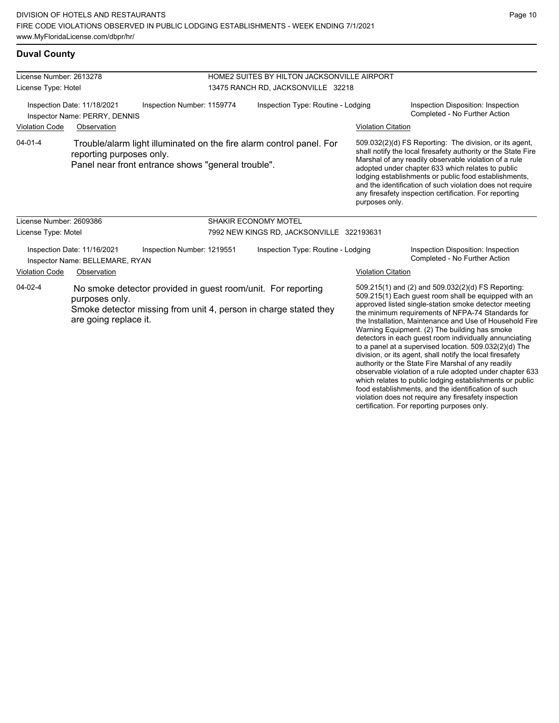### **Duval County**

| License Number: 2613278                                                                    |                                                                |                                                              | HOME2 SUITES BY HILTON JACKSONVILLE AIRPORT |                                                                      |                           |                                                                                                                                                                                                                                                                                                                                                                                                                                                                                                                                                                               |  |
|--------------------------------------------------------------------------------------------|----------------------------------------------------------------|--------------------------------------------------------------|---------------------------------------------|----------------------------------------------------------------------|---------------------------|-------------------------------------------------------------------------------------------------------------------------------------------------------------------------------------------------------------------------------------------------------------------------------------------------------------------------------------------------------------------------------------------------------------------------------------------------------------------------------------------------------------------------------------------------------------------------------|--|
| License Type: Hotel                                                                        |                                                                |                                                              |                                             | 13475 RANCH RD, JACKSONVILLE 32218                                   |                           |                                                                                                                                                                                                                                                                                                                                                                                                                                                                                                                                                                               |  |
| Inspection Number: 1159774<br>Inspection Date: 11/18/2021<br>Inspector Name: PERRY, DENNIS |                                                                |                                                              |                                             | Inspection Type: Routine - Lodging                                   |                           | Inspection Disposition: Inspection<br>Completed - No Further Action                                                                                                                                                                                                                                                                                                                                                                                                                                                                                                           |  |
| <b>Violation Code</b>                                                                      | Observation                                                    |                                                              |                                             |                                                                      | <b>Violation Citation</b> |                                                                                                                                                                                                                                                                                                                                                                                                                                                                                                                                                                               |  |
| $04 - 01 - 4$                                                                              | reporting purposes only.                                       | Panel near front entrance shows "general trouble".           |                                             | Trouble/alarm light illuminated on the fire alarm control panel. For | purposes only.            | 509.032(2)(d) FS Reporting: The division, or its agent,<br>shall notify the local firesafety authority or the State Fire<br>Marshal of any readily observable violation of a rule<br>adopted under chapter 633 which relates to public<br>lodging establishments or public food establishments,<br>and the identification of such violation does not require<br>any firesafety inspection certification. For reporting                                                                                                                                                        |  |
| License Number: 2609386                                                                    |                                                                |                                                              |                                             | <b>SHAKIR ECONOMY MOTEL</b>                                          |                           |                                                                                                                                                                                                                                                                                                                                                                                                                                                                                                                                                                               |  |
| License Type: Motel                                                                        |                                                                |                                                              |                                             | 7992 NEW KINGS RD, JACKSONVILLE 322193631                            |                           |                                                                                                                                                                                                                                                                                                                                                                                                                                                                                                                                                                               |  |
|                                                                                            | Inspection Date: 11/16/2021<br>Inspector Name: BELLEMARE, RYAN | Inspection Number: 1219551                                   |                                             | Inspection Type: Routine - Lodging                                   |                           | Inspection Disposition: Inspection<br>Completed - No Further Action                                                                                                                                                                                                                                                                                                                                                                                                                                                                                                           |  |
| <b>Violation Code</b>                                                                      | Observation                                                    |                                                              |                                             |                                                                      | <b>Violation Citation</b> |                                                                                                                                                                                                                                                                                                                                                                                                                                                                                                                                                                               |  |
| $04 - 02 - 4$                                                                              | purposes only.<br>are going replace it.                        | No smoke detector provided in guest room/unit. For reporting |                                             | Smoke detector missing from unit 4, person in charge stated they     |                           | 509.215(1) and (2) and 509.032(2)(d) FS Reporting:<br>509.215(1) Each guest room shall be equipped with an<br>approved listed single-station smoke detector meeting<br>the minimum requirements of NFPA-74 Standards for<br>the Installation, Maintenance and Use of Household Fire<br>Warning Equipment. (2) The building has smoke<br>detectors in each guest room individually annunciating<br>to a panel at a supervised location. $509.032(2)(d)$ The<br>division, or its agent, shall notify the local firesafety<br>authority or the State Fire Marshal of any readily |  |

observable violation of a rule adopted under chapter 633 which relates to public lodging establishments or public food establishments, and the identification of such violation does not require any firesafety inspection certification. For reporting purposes only.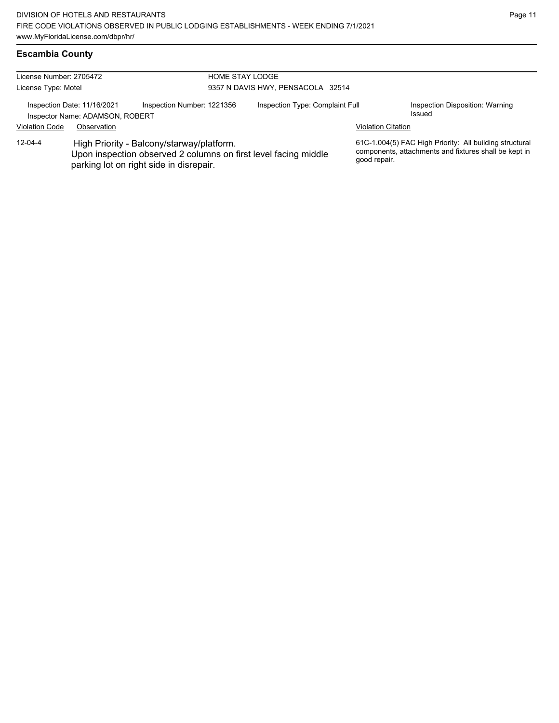## **Escambia County**

| License Number: 2705472                                                                      |             | <b>HOME STAY LODGE</b>                                                               |                                   |                                                                 |                           |                                                                                                                  |
|----------------------------------------------------------------------------------------------|-------------|--------------------------------------------------------------------------------------|-----------------------------------|-----------------------------------------------------------------|---------------------------|------------------------------------------------------------------------------------------------------------------|
| License Type: Motel                                                                          |             |                                                                                      | 9357 N DAVIS HWY, PENSACOLA 32514 |                                                                 |                           |                                                                                                                  |
| Inspection Number: 1221356<br>Inspection Date: 11/16/2021<br>Inspector Name: ADAMSON, ROBERT |             | Inspection Type: Complaint Full<br>Issued                                            |                                   | Inspection Disposition: Warning                                 |                           |                                                                                                                  |
| <b>Violation Code</b>                                                                        | Observation |                                                                                      |                                   |                                                                 | <b>Violation Citation</b> |                                                                                                                  |
| $12 - 04 - 4$                                                                                |             | High Priority - Balcony/starway/platform.<br>parking lot on right side in disrepair. |                                   | Upon inspection observed 2 columns on first level facing middle | good repair.              | 61C-1.004(5) FAC High Priority: All building structural<br>components, attachments and fixtures shall be kept in |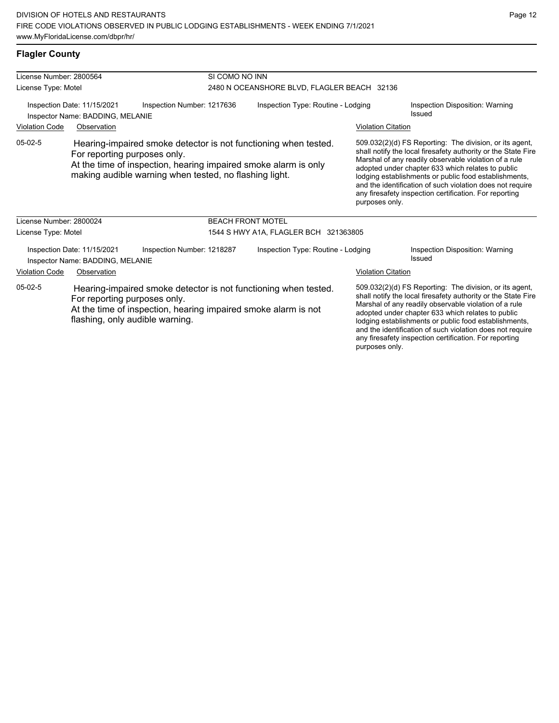| License Number: 2800564                                                                                                                                                                                           |                                                                 |                                                        | SI COMO NO INN                     |                                                                                                                                                                                                                                                                                                                                                              |                                           |                                                                                                                                                                                                                                                                                                                                                                                                                        |  |
|-------------------------------------------------------------------------------------------------------------------------------------------------------------------------------------------------------------------|-----------------------------------------------------------------|--------------------------------------------------------|------------------------------------|--------------------------------------------------------------------------------------------------------------------------------------------------------------------------------------------------------------------------------------------------------------------------------------------------------------------------------------------------------------|-------------------------------------------|------------------------------------------------------------------------------------------------------------------------------------------------------------------------------------------------------------------------------------------------------------------------------------------------------------------------------------------------------------------------------------------------------------------------|--|
| License Type: Motel                                                                                                                                                                                               |                                                                 |                                                        |                                    | 2480 N OCEANSHORE BLVD, FLAGLER BEACH 32136                                                                                                                                                                                                                                                                                                                  |                                           |                                                                                                                                                                                                                                                                                                                                                                                                                        |  |
|                                                                                                                                                                                                                   | Inspection Date: 11/15/2021<br>Inspector Name: BADDING, MELANIE | Inspection Number: 1217636                             | Inspection Type: Routine - Lodging |                                                                                                                                                                                                                                                                                                                                                              | Inspection Disposition: Warning<br>Issued |                                                                                                                                                                                                                                                                                                                                                                                                                        |  |
| <b>Violation Code</b>                                                                                                                                                                                             | Observation                                                     |                                                        |                                    |                                                                                                                                                                                                                                                                                                                                                              | <b>Violation Citation</b>                 |                                                                                                                                                                                                                                                                                                                                                                                                                        |  |
| $05-02-5$                                                                                                                                                                                                         | For reporting purposes only.                                    | making audible warning when tested, no flashing light. |                                    | Hearing-impaired smoke detector is not functioning when tested.<br>At the time of inspection, hearing impaired smoke alarm is only                                                                                                                                                                                                                           | purposes only.                            | 509.032(2)(d) FS Reporting: The division, or its agent,<br>shall notify the local firesafety authority or the State Fire<br>Marshal of any readily observable violation of a rule<br>adopted under chapter 633 which relates to public<br>lodging establishments or public food establishments,<br>and the identification of such violation does not require<br>any firesafety inspection certification. For reporting |  |
| License Number: 2800024                                                                                                                                                                                           |                                                                 |                                                        | <b>BEACH FRONT MOTEL</b>           |                                                                                                                                                                                                                                                                                                                                                              |                                           |                                                                                                                                                                                                                                                                                                                                                                                                                        |  |
| License Type: Motel                                                                                                                                                                                               |                                                                 |                                                        |                                    | 1544 S HWY A1A, FLAGLER BCH 321363805                                                                                                                                                                                                                                                                                                                        |                                           |                                                                                                                                                                                                                                                                                                                                                                                                                        |  |
|                                                                                                                                                                                                                   | Inspection Date: 11/15/2021<br>Inspector Name: BADDING, MELANIE | Inspection Number: 1218287                             | Inspection Type: Routine - Lodging |                                                                                                                                                                                                                                                                                                                                                              |                                           | Inspection Disposition: Warning<br>Issued                                                                                                                                                                                                                                                                                                                                                                              |  |
| <b>Violation Code</b>                                                                                                                                                                                             | Observation                                                     |                                                        |                                    |                                                                                                                                                                                                                                                                                                                                                              | <b>Violation Citation</b>                 |                                                                                                                                                                                                                                                                                                                                                                                                                        |  |
| $05-02-5$<br>Hearing-impaired smoke detector is not functioning when tested.<br>For reporting purposes only.<br>At the time of inspection, hearing impaired smoke alarm is not<br>flashing, only audible warning. |                                                                 |                                                        |                                    | 509.032(2)(d) FS Reporting: The division, or its agent,<br>shall notify the local firesafety authority or the State Fire<br>Marshal of any readily observable violation of a rule<br>adopted under chapter 633 which relates to public<br>lodging establishments or public food establishments,<br>and the identification of such violation does not require |                                           |                                                                                                                                                                                                                                                                                                                                                                                                                        |  |

any firesafety inspection certification. For reporting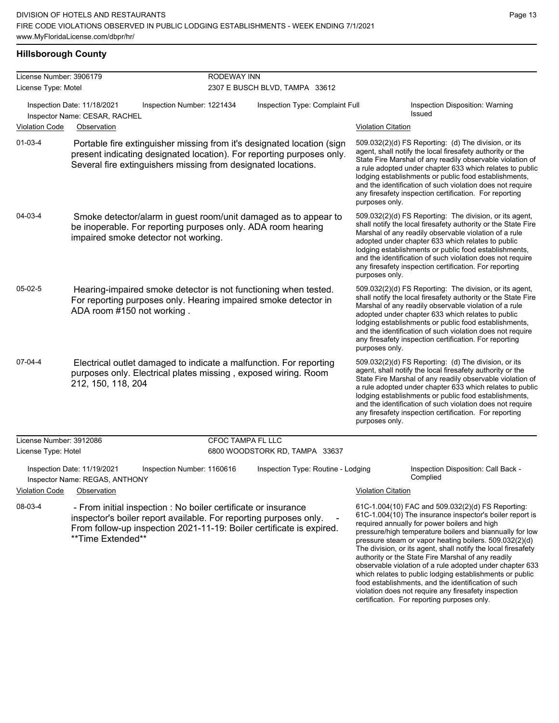### **Hillsborough County**

| License Number: 3906179 |                                                                                                                                                                                                                                  | <b>RODEWAY INN</b>         |                                    |                                                                                                                                                                                                                                                                                                                                                                                                                                                                                                                                                                                                                                                   |
|-------------------------|----------------------------------------------------------------------------------------------------------------------------------------------------------------------------------------------------------------------------------|----------------------------|------------------------------------|---------------------------------------------------------------------------------------------------------------------------------------------------------------------------------------------------------------------------------------------------------------------------------------------------------------------------------------------------------------------------------------------------------------------------------------------------------------------------------------------------------------------------------------------------------------------------------------------------------------------------------------------------|
| License Type: Motel     |                                                                                                                                                                                                                                  |                            | 2307 E BUSCH BLVD, TAMPA 33612     |                                                                                                                                                                                                                                                                                                                                                                                                                                                                                                                                                                                                                                                   |
| <b>Violation Code</b>   | Inspection Date: 11/18/2021<br>Inspector Name: CESAR, RACHEL                                                                                                                                                                     | Inspection Number: 1221434 | Inspection Type: Complaint Full    | Inspection Disposition: Warning<br><b>Issued</b><br><b>Violation Citation</b>                                                                                                                                                                                                                                                                                                                                                                                                                                                                                                                                                                     |
|                         | Observation                                                                                                                                                                                                                      |                            |                                    |                                                                                                                                                                                                                                                                                                                                                                                                                                                                                                                                                                                                                                                   |
| $01 - 03 - 4$           | Portable fire extinguisher missing from it's designated location (sign<br>present indicating designated location). For reporting purposes only.<br>Several fire extinguishers missing from designated locations.                 |                            |                                    | 509.032(2)(d) FS Reporting: (d) The division, or its<br>agent, shall notify the local firesafety authority or the<br>State Fire Marshal of any readily observable violation of<br>a rule adopted under chapter 633 which relates to public<br>lodging establishments or public food establishments,<br>and the identification of such violation does not require<br>any firesafety inspection certification. For reporting<br>purposes only.                                                                                                                                                                                                      |
| 04-03-4                 | Smoke detector/alarm in guest room/unit damaged as to appear to<br>be inoperable. For reporting purposes only. ADA room hearing<br>impaired smoke detector not working.                                                          |                            |                                    | 509.032(2)(d) FS Reporting: The division, or its agent,<br>shall notify the local firesafety authority or the State Fire<br>Marshal of any readily observable violation of a rule<br>adopted under chapter 633 which relates to public<br>lodging establishments or public food establishments,<br>and the identification of such violation does not require<br>any firesafety inspection certification. For reporting<br>purposes only.                                                                                                                                                                                                          |
| $05-02-5$               | Hearing-impaired smoke detector is not functioning when tested.<br>For reporting purposes only. Hearing impaired smoke detector in<br>ADA room #150 not working.                                                                 |                            |                                    | 509.032(2)(d) FS Reporting: The division, or its agent,<br>shall notify the local firesafety authority or the State Fire<br>Marshal of any readily observable violation of a rule<br>adopted under chapter 633 which relates to public<br>lodging establishments or public food establishments,<br>and the identification of such violation does not require<br>any firesafety inspection certification. For reporting<br>purposes only.                                                                                                                                                                                                          |
| 07-04-4                 | Electrical outlet damaged to indicate a malfunction. For reporting<br>purposes only. Electrical plates missing, exposed wiring. Room<br>212, 150, 118, 204                                                                       |                            |                                    | 509.032(2)(d) FS Reporting: (d) The division, or its<br>agent, shall notify the local firesafety authority or the<br>State Fire Marshal of any readily observable violation of<br>a rule adopted under chapter 633 which relates to public<br>lodging establishments or public food establishments,<br>and the identification of such violation does not require<br>any firesafety inspection certification. For reporting<br>purposes only.                                                                                                                                                                                                      |
| License Number: 3912086 |                                                                                                                                                                                                                                  | <b>CFOC TAMPA FL LLC</b>   |                                    |                                                                                                                                                                                                                                                                                                                                                                                                                                                                                                                                                                                                                                                   |
| License Type: Hotel     |                                                                                                                                                                                                                                  |                            | 6800 WOODSTORK RD, TAMPA 33637     |                                                                                                                                                                                                                                                                                                                                                                                                                                                                                                                                                                                                                                                   |
|                         | Inspection Date: 11/19/2021<br>Inspector Name: REGAS, ANTHONY                                                                                                                                                                    | Inspection Number: 1160616 | Inspection Type: Routine - Lodging | Inspection Disposition: Call Back -<br>Complied                                                                                                                                                                                                                                                                                                                                                                                                                                                                                                                                                                                                   |
| <b>Violation Code</b>   | Observation                                                                                                                                                                                                                      |                            |                                    | <b>Violation Citation</b>                                                                                                                                                                                                                                                                                                                                                                                                                                                                                                                                                                                                                         |
| 08-03-4                 | - From initial inspection : No boiler certificate or insurance<br>inspector's boiler report available. For reporting purposes only.<br>From follow-up inspection 2021-11-19: Boiler certificate is expired.<br>**Time Extended** |                            |                                    | 61C-1.004(10) FAC and 509.032(2)(d) FS Reporting:<br>61C-1.004(10) The insurance inspector's boiler report is<br>required annually for power boilers and high<br>pressure/high temperature boilers and biannually for low<br>pressure steam or vapor heating boilers. 509.032(2)(d)<br>The division, or its agent, shall notify the local firesafety<br>authority or the State Fire Marshal of any readily<br>observable violation of a rule adopted under chapter 633<br>which relates to public lodging establishments or public<br>food establishments, and the identification of such<br>violation does not require any firesafety inspection |

certification. For reporting purposes only.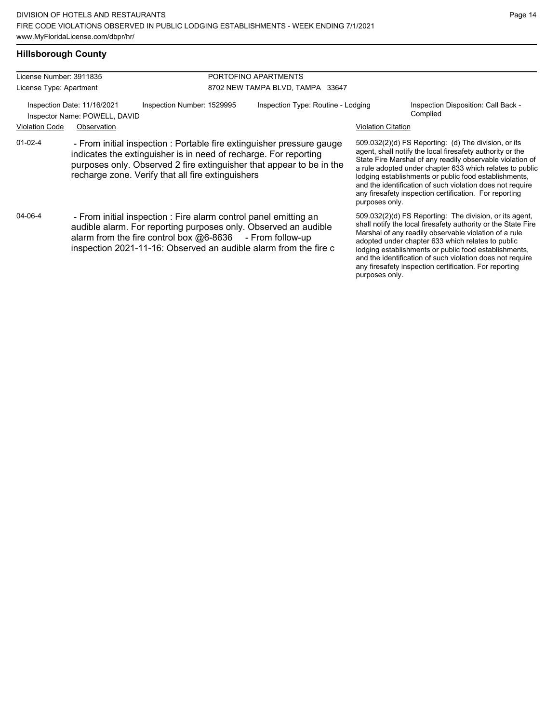## **Hillsborough County**

| License Number: 3911835                                      |                                                                                                                                                                                                                                                                       |                            | PORTOFINO APARTMENTS                                                  |                           |                                                                                                                                                                                                                                                                                                                                                                                                                            |  |  |  |
|--------------------------------------------------------------|-----------------------------------------------------------------------------------------------------------------------------------------------------------------------------------------------------------------------------------------------------------------------|----------------------------|-----------------------------------------------------------------------|---------------------------|----------------------------------------------------------------------------------------------------------------------------------------------------------------------------------------------------------------------------------------------------------------------------------------------------------------------------------------------------------------------------------------------------------------------------|--|--|--|
| License Type: Apartment                                      |                                                                                                                                                                                                                                                                       |                            | 8702 NEW TAMPA BLVD, TAMPA 33647                                      |                           |                                                                                                                                                                                                                                                                                                                                                                                                                            |  |  |  |
| Inspection Date: 11/16/2021<br>Inspector Name: POWELL, DAVID |                                                                                                                                                                                                                                                                       | Inspection Number: 1529995 | Inspection Type: Routine - Lodging                                    |                           | Inspection Disposition: Call Back -<br>Complied                                                                                                                                                                                                                                                                                                                                                                            |  |  |  |
| <b>Violation Code</b>                                        | Observation                                                                                                                                                                                                                                                           |                            |                                                                       | <b>Violation Citation</b> |                                                                                                                                                                                                                                                                                                                                                                                                                            |  |  |  |
| $01-02-4$                                                    | indicates the extinguisher is in need of recharge. For reporting<br>purposes only. Observed 2 fire extinguisher that appear to be in the<br>recharge zone. Verify that all fire extinguishers                                                                         |                            | - From initial inspection : Portable fire extinguisher pressure gauge | purposes only.            | 509.032(2)(d) FS Reporting: (d) The division, or its<br>agent, shall notify the local firesafety authority or the<br>State Fire Marshal of any readily observable violation of<br>a rule adopted under chapter 633 which relates to public<br>lodging establishments or public food establishments,<br>and the identification of such violation does not require<br>any firesafety inspection certification. For reporting |  |  |  |
| 04-06-4                                                      | - From initial inspection : Fire alarm control panel emitting an<br>audible alarm. For reporting purposes only. Observed an audible<br>alarm from the fire control box $@6-8636$ - From follow-up<br>inspection 2021-11-16: Observed an audible alarm from the fire c |                            |                                                                       | purposes only.            | 509.032(2)(d) FS Reporting: The division, or its agent,<br>shall notify the local firesafety authority or the State Fire<br>Marshal of any readily observable violation of a rule<br>adopted under chapter 633 which relates to public<br>lodging establishments or public food establishments,<br>and the identification of such violation does not require<br>any firesafety inspection certification. For reporting     |  |  |  |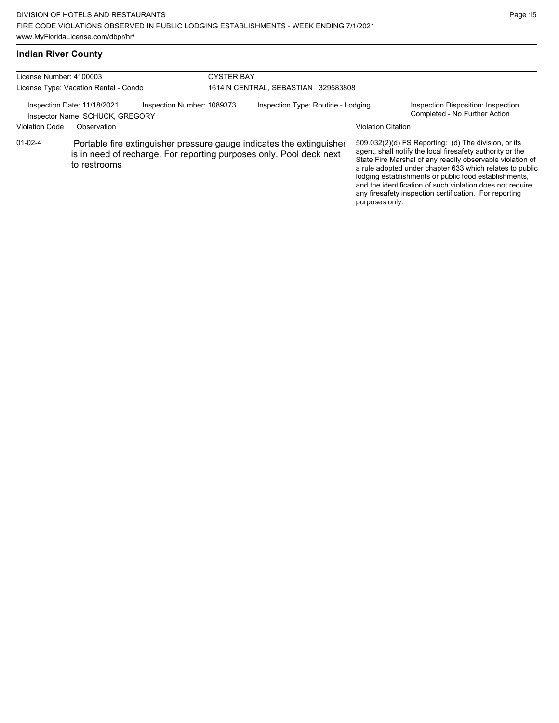### **Indian River County**

| License Number: 4100003               |                                                                |                                     | <b>OYSTER BAY</b> |                                                                                                                                             |                           |                                                                                                                                                                                                                                                                                                                                                                                                                            |
|---------------------------------------|----------------------------------------------------------------|-------------------------------------|-------------------|---------------------------------------------------------------------------------------------------------------------------------------------|---------------------------|----------------------------------------------------------------------------------------------------------------------------------------------------------------------------------------------------------------------------------------------------------------------------------------------------------------------------------------------------------------------------------------------------------------------------|
| License Type: Vacation Rental - Condo |                                                                | 1614 N CENTRAL, SEBASTIAN 329583808 |                   |                                                                                                                                             |                           |                                                                                                                                                                                                                                                                                                                                                                                                                            |
|                                       | Inspection Date: 11/18/2021<br>Inspector Name: SCHUCK, GREGORY | Inspection Number: 1089373          |                   | Inspection Type: Routine - Lodging                                                                                                          |                           | Inspection Disposition: Inspection<br>Completed - No Further Action                                                                                                                                                                                                                                                                                                                                                        |
| <b>Violation Code</b>                 | Observation                                                    |                                     |                   |                                                                                                                                             | <b>Violation Citation</b> |                                                                                                                                                                                                                                                                                                                                                                                                                            |
| $01-02-4$                             | to restrooms                                                   |                                     |                   | Portable fire extinguisher pressure gauge indicates the extinguisher<br>is in need of recharge. For reporting purposes only. Pool deck next | purposes only.            | 509.032(2)(d) FS Reporting: (d) The division, or its<br>agent, shall notify the local firesafety authority or the<br>State Fire Marshal of any readily observable violation of<br>a rule adopted under chapter 633 which relates to public<br>lodging establishments or public food establishments,<br>and the identification of such violation does not require<br>any firesafety inspection certification. For reporting |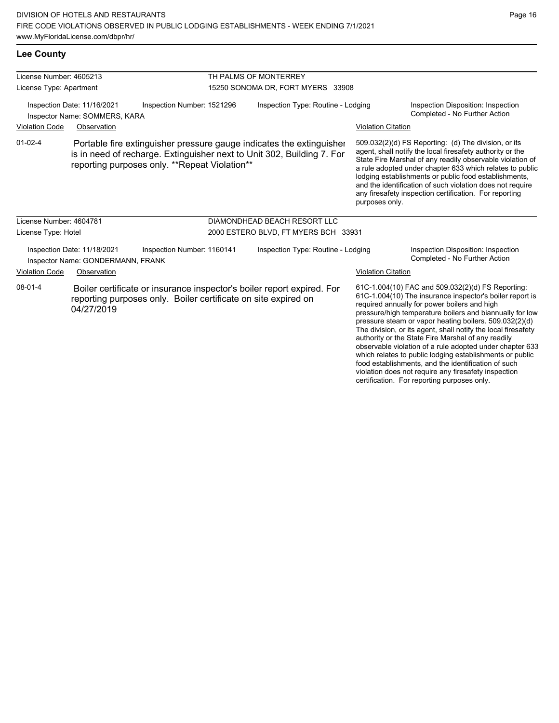violation does not require any firesafety inspection certification. For reporting purposes only.

Page 16

| <b>Lee County</b>                                            |                                                                  |                                                                                                                                                                                                 |                                      |                           |                                                                                                                                                                                                                                                                                                                                                                                                                                                                                                                                                                                           |
|--------------------------------------------------------------|------------------------------------------------------------------|-------------------------------------------------------------------------------------------------------------------------------------------------------------------------------------------------|--------------------------------------|---------------------------|-------------------------------------------------------------------------------------------------------------------------------------------------------------------------------------------------------------------------------------------------------------------------------------------------------------------------------------------------------------------------------------------------------------------------------------------------------------------------------------------------------------------------------------------------------------------------------------------|
| License Number: 4605213                                      |                                                                  |                                                                                                                                                                                                 | TH PALMS OF MONTERREY                |                           |                                                                                                                                                                                                                                                                                                                                                                                                                                                                                                                                                                                           |
| License Type: Apartment                                      |                                                                  |                                                                                                                                                                                                 | 15250 SONOMA DR, FORT MYERS 33908    |                           |                                                                                                                                                                                                                                                                                                                                                                                                                                                                                                                                                                                           |
| Inspection Date: 11/16/2021<br>Inspector Name: SOMMERS, KARA |                                                                  | Inspection Number: 1521296                                                                                                                                                                      | Inspection Type: Routine - Lodging   |                           | Inspection Disposition: Inspection<br>Completed - No Further Action                                                                                                                                                                                                                                                                                                                                                                                                                                                                                                                       |
| <b>Violation Code</b>                                        | Observation                                                      |                                                                                                                                                                                                 |                                      | <b>Violation Citation</b> |                                                                                                                                                                                                                                                                                                                                                                                                                                                                                                                                                                                           |
| $01 - 02 - 4$                                                |                                                                  | Portable fire extinguisher pressure gauge indicates the extinguisher<br>is in need of recharge. Extinguisher next to Unit 302, Building 7. For<br>reporting purposes only. **Repeat Violation** |                                      | purposes only.            | 509.032(2)(d) FS Reporting: (d) The division, or its<br>agent, shall notify the local firesafety authority or the<br>State Fire Marshal of any readily observable violation of<br>a rule adopted under chapter 633 which relates to public<br>lodging establishments or public food establishments,<br>and the identification of such violation does not require<br>any firesafety inspection certification. For reporting                                                                                                                                                                |
| License Number: 4604781                                      |                                                                  |                                                                                                                                                                                                 | DIAMONDHEAD BEACH RESORT LLC         |                           |                                                                                                                                                                                                                                                                                                                                                                                                                                                                                                                                                                                           |
| License Type: Hotel                                          |                                                                  |                                                                                                                                                                                                 | 2000 ESTERO BLVD, FT MYERS BCH 33931 |                           |                                                                                                                                                                                                                                                                                                                                                                                                                                                                                                                                                                                           |
|                                                              | Inspection Date: 11/18/2021<br>Inspector Name: GONDERMANN, FRANK | Inspection Number: 1160141                                                                                                                                                                      | Inspection Type: Routine - Lodging   |                           | Inspection Disposition: Inspection<br>Completed - No Further Action                                                                                                                                                                                                                                                                                                                                                                                                                                                                                                                       |
| <b>Violation Code</b>                                        | Observation                                                      |                                                                                                                                                                                                 |                                      | <b>Violation Citation</b> |                                                                                                                                                                                                                                                                                                                                                                                                                                                                                                                                                                                           |
| $08 - 01 - 4$                                                | 04/27/2019                                                       | Boiler certificate or insurance inspector's boiler report expired. For<br>reporting purposes only. Boiler certificate on site expired on                                                        |                                      |                           | 61C-1.004(10) FAC and 509.032(2)(d) FS Reporting:<br>61C-1.004(10) The insurance inspector's boiler report is<br>required annually for power boilers and high<br>pressure/high temperature boilers and biannually for low<br>pressure steam or vapor heating boilers. 509.032(2)(d)<br>The division, or its agent, shall notify the local firesafety<br>authority or the State Fire Marshal of any readily<br>observable violation of a rule adopted under chapter 633<br>which relates to public lodging establishments or public<br>food establishments, and the identification of such |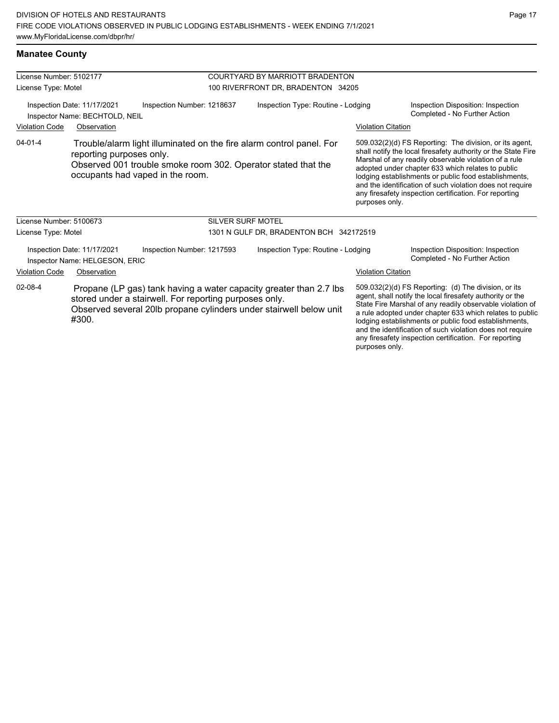| License Number: 5102177                                                    |                                                               |                                  | COURTYARD BY MARRIOTT BRADENTON                                                                                                           |                           |                                                                                                                                                                                                                                                                                                                                                                                                                            |  |  |
|----------------------------------------------------------------------------|---------------------------------------------------------------|----------------------------------|-------------------------------------------------------------------------------------------------------------------------------------------|---------------------------|----------------------------------------------------------------------------------------------------------------------------------------------------------------------------------------------------------------------------------------------------------------------------------------------------------------------------------------------------------------------------------------------------------------------------|--|--|
| License Type: Motel                                                        |                                                               |                                  | 100 RIVERFRONT DR, BRADENTON 34205                                                                                                        |                           |                                                                                                                                                                                                                                                                                                                                                                                                                            |  |  |
|                                                                            | Inspection Date: 11/17/2021<br>Inspector Name: BECHTOLD, NEIL | Inspection Number: 1218637       | Inspection Type: Routine - Lodging                                                                                                        |                           | Inspection Disposition: Inspection<br>Completed - No Further Action                                                                                                                                                                                                                                                                                                                                                        |  |  |
| <b>Violation Code</b>                                                      | Observation                                                   |                                  |                                                                                                                                           | <b>Violation Citation</b> |                                                                                                                                                                                                                                                                                                                                                                                                                            |  |  |
| $04 - 01 - 4$                                                              | reporting purposes only.                                      | occupants had vaped in the room. | Trouble/alarm light illuminated on the fire alarm control panel. For<br>Observed 001 trouble smoke room 302. Operator stated that the     | purposes only.            | 509.032(2)(d) FS Reporting: The division, or its agent,<br>shall notify the local firesafety authority or the State Fire<br>Marshal of any readily observable violation of a rule<br>adopted under chapter 633 which relates to public<br>lodging establishments or public food establishments,<br>and the identification of such violation does not require<br>any firesafety inspection certification. For reporting     |  |  |
| License Number: 5100673                                                    |                                                               |                                  | <b>SILVER SURF MOTEL</b>                                                                                                                  |                           |                                                                                                                                                                                                                                                                                                                                                                                                                            |  |  |
| License Type: Motel                                                        |                                                               |                                  | 1301 N GULF DR, BRADENTON BCH 342172519                                                                                                   |                           |                                                                                                                                                                                                                                                                                                                                                                                                                            |  |  |
|                                                                            | Inspection Date: 11/17/2021<br>Inspector Name: HELGESON, ERIC | Inspection Number: 1217593       | Inspection Type: Routine - Lodging                                                                                                        |                           | Inspection Disposition: Inspection<br>Completed - No Further Action                                                                                                                                                                                                                                                                                                                                                        |  |  |
| <b>Violation Code</b>                                                      | Observation                                                   |                                  |                                                                                                                                           | <b>Violation Citation</b> |                                                                                                                                                                                                                                                                                                                                                                                                                            |  |  |
| 02-08-4<br>stored under a stairwell. For reporting purposes only.<br>#300. |                                                               |                                  | Propane (LP gas) tank having a water capacity greater than 2.7 lbs.<br>Observed several 20lb propane cylinders under stairwell below unit |                           | 509.032(2)(d) FS Reporting: (d) The division, or its<br>agent, shall notify the local firesafety authority or the<br>State Fire Marshal of any readily observable violation of<br>a rule adopted under chapter 633 which relates to public<br>lodging establishments or public food establishments,<br>and the identification of such violation does not require<br>any firesafety inspection certification. For reporting |  |  |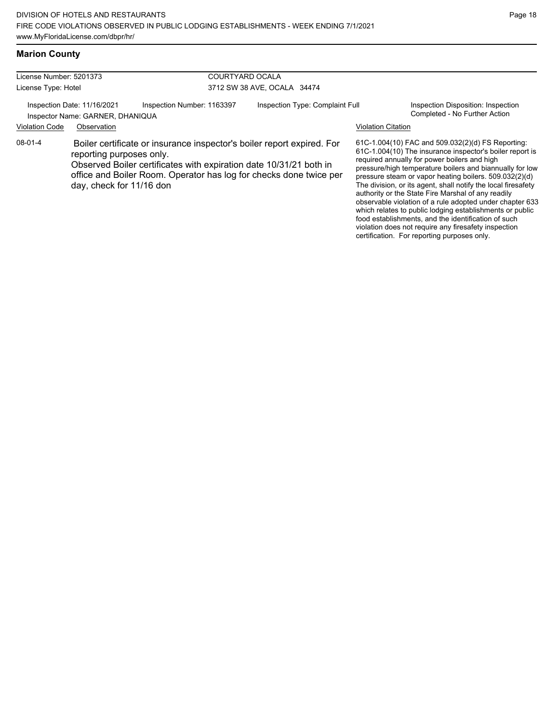## **Marion County**

License Number: 5201373 License Type: Hotel

COURTYARD OCALA 3712 SW 38 AVE, OCALA 34474

Inspection Date: 11/16/2021 Inspection Number: 1163397 Inspection Type: Complaint Full Inspection Disposition: Inspection<br>Inspector Name: GARNER DHANIOLIA

Inspector Name: GARNER, DHANIQUA

#### Violation Code Observation Violation Citation

08-01-4 Boiler certificate or insurance inspector's boiler report expired. For reporting purposes only.

> Observed Boiler certificates with expiration date 10/31/21 both in office and Boiler Room. Operator has log for checks done twice per day, check for 11/16 don

61C-1.004(10) FAC and 509.032(2)(d) FS Reporting: 61C-1.004(10) The insurance inspector's boiler report is required annually for power boilers and high pressure/high temperature boilers and biannually for low pressure steam or vapor heating boilers. 509.032(2)(d) The division, or its agent, shall notify the local firesafety authority or the State Fire Marshal of any readily observable violation of a rule adopted under chapter 633 which relates to public lodging establishments or public food establishments, and the identification of such violation does not require any firesafety inspection certification. For reporting purposes only.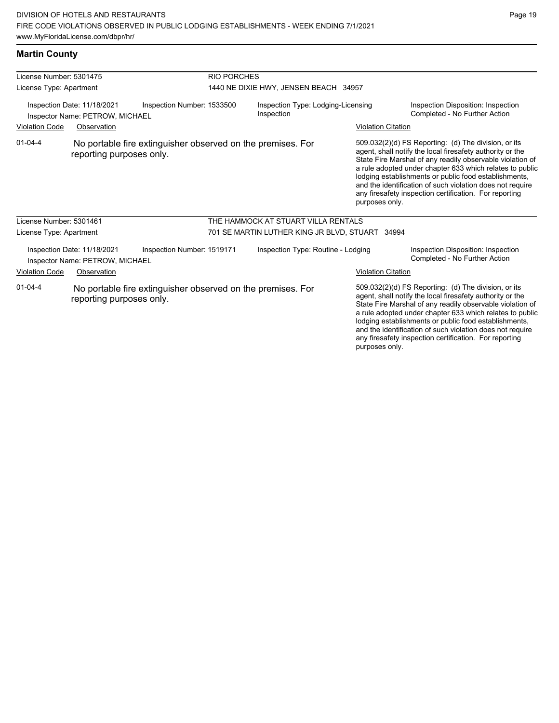| License Number: 5301475                                                                      |                                                                |                                                             | <b>RIO PORCHES</b>                               |                                                 |                                                                     |                                                                                                                                                                                                                                                                                                                                                                                                                            |  |
|----------------------------------------------------------------------------------------------|----------------------------------------------------------------|-------------------------------------------------------------|--------------------------------------------------|-------------------------------------------------|---------------------------------------------------------------------|----------------------------------------------------------------------------------------------------------------------------------------------------------------------------------------------------------------------------------------------------------------------------------------------------------------------------------------------------------------------------------------------------------------------------|--|
| License Type: Apartment                                                                      |                                                                |                                                             | 1440 NE DIXIE HWY, JENSEN BEACH 34957            |                                                 |                                                                     |                                                                                                                                                                                                                                                                                                                                                                                                                            |  |
| Inspection Number: 1533500<br>Inspection Date: 11/18/2021<br>Inspector Name: PETROW, MICHAEL |                                                                |                                                             | Inspection Type: Lodging-Licensing<br>Inspection |                                                 | Inspection Disposition: Inspection<br>Completed - No Further Action |                                                                                                                                                                                                                                                                                                                                                                                                                            |  |
| <b>Violation Code</b>                                                                        | Observation                                                    |                                                             |                                                  |                                                 | <b>Violation Citation</b>                                           |                                                                                                                                                                                                                                                                                                                                                                                                                            |  |
| $01 - 04 - 4$                                                                                | reporting purposes only.                                       | No portable fire extinguisher observed on the premises. For |                                                  |                                                 | purposes only.                                                      | 509.032(2)(d) FS Reporting: (d) The division, or its<br>agent, shall notify the local firesafety authority or the<br>State Fire Marshal of any readily observable violation of<br>a rule adopted under chapter 633 which relates to public<br>lodging establishments or public food establishments,<br>and the identification of such violation does not require<br>any firesafety inspection certification. For reporting |  |
| License Number: 5301461                                                                      |                                                                |                                                             |                                                  | THE HAMMOCK AT STUART VILLA RENTALS             |                                                                     |                                                                                                                                                                                                                                                                                                                                                                                                                            |  |
| License Type: Apartment                                                                      |                                                                |                                                             |                                                  | 701 SE MARTIN LUTHER KING JR BLVD, STUART 34994 |                                                                     |                                                                                                                                                                                                                                                                                                                                                                                                                            |  |
|                                                                                              | Inspection Date: 11/18/2021<br>Inspector Name: PETROW, MICHAEL | Inspection Number: 1519171                                  |                                                  | Inspection Type: Routine - Lodging              |                                                                     | Inspection Disposition: Inspection<br>Completed - No Further Action                                                                                                                                                                                                                                                                                                                                                        |  |
| <b>Violation Code</b>                                                                        | Observation                                                    |                                                             |                                                  |                                                 | <b>Violation Citation</b>                                           |                                                                                                                                                                                                                                                                                                                                                                                                                            |  |
| $01 - 04 - 4$                                                                                | reporting purposes only.                                       | No portable fire extinguisher observed on the premises. For |                                                  |                                                 |                                                                     | 509.032(2)(d) FS Reporting: (d) The division, or its<br>agent, shall notify the local firesafety authority or the<br>State Fire Marshal of any readily observable violation of<br>a rule adopted under chapter 633 which relates to public<br>lodging establishments or public food establishments,<br>and the identification of such violation does not require<br>any firesafety inspection certification. For reporting |  |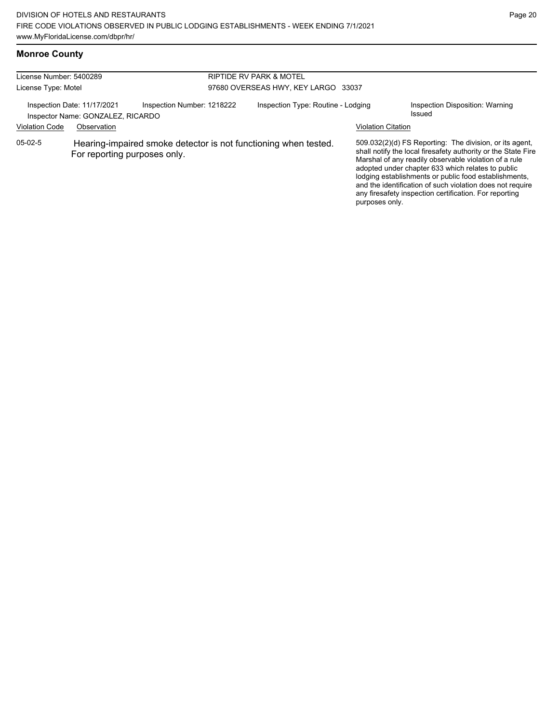### **Monroe County**

| License Number: 5400289 |                                                                  |                                     | <b>RIPTIDE RV PARK &amp; MOTEL</b>                              |                           |                                                                                                                                                                                                                                                                                                                                                                                                                        |
|-------------------------|------------------------------------------------------------------|-------------------------------------|-----------------------------------------------------------------|---------------------------|------------------------------------------------------------------------------------------------------------------------------------------------------------------------------------------------------------------------------------------------------------------------------------------------------------------------------------------------------------------------------------------------------------------------|
| License Type: Motel     |                                                                  | 97680 OVERSEAS HWY, KEY LARGO 33037 |                                                                 |                           |                                                                                                                                                                                                                                                                                                                                                                                                                        |
|                         | Inspection Date: 11/17/2021<br>Inspector Name: GONZALEZ, RICARDO | Inspection Number: 1218222          | Inspection Type: Routine - Lodging                              |                           | Inspection Disposition: Warning<br>Issued                                                                                                                                                                                                                                                                                                                                                                              |
| <b>Violation Code</b>   | Observation                                                      |                                     |                                                                 | <b>Violation Citation</b> |                                                                                                                                                                                                                                                                                                                                                                                                                        |
| $05-02-5$               | For reporting purposes only.                                     |                                     | Hearing-impaired smoke detector is not functioning when tested. | purposes only.            | 509.032(2)(d) FS Reporting: The division, or its agent,<br>shall notify the local firesafety authority or the State Fire<br>Marshal of any readily observable violation of a rule<br>adopted under chapter 633 which relates to public<br>lodging establishments or public food establishments,<br>and the identification of such violation does not require<br>any firesafety inspection certification. For reporting |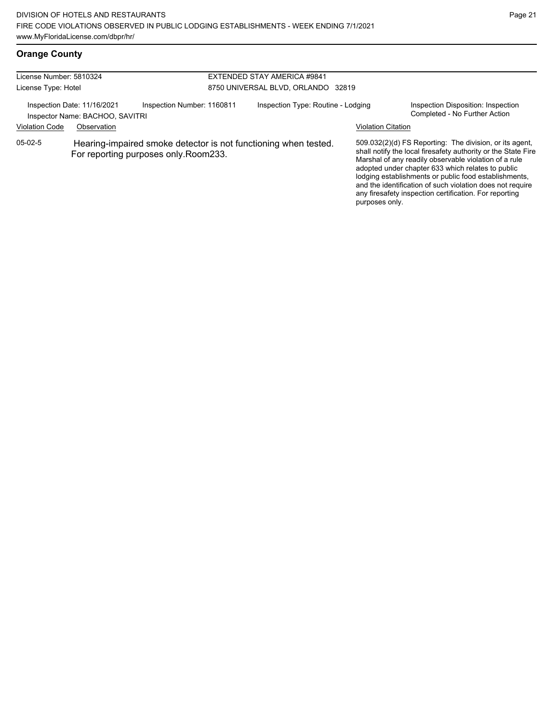## **Orange County**

| License Number: 5810324<br>License Type: Hotel |                                                                               |                                                                                                         | EXTENDED STAY AMERICA #9841<br>8750 UNIVERSAL BLVD, ORLANDO 32819 |                           |                                                                                                                                                                                                                                                                                                                                                                                                                        |  |
|------------------------------------------------|-------------------------------------------------------------------------------|---------------------------------------------------------------------------------------------------------|-------------------------------------------------------------------|---------------------------|------------------------------------------------------------------------------------------------------------------------------------------------------------------------------------------------------------------------------------------------------------------------------------------------------------------------------------------------------------------------------------------------------------------------|--|
| <b>Violation Code</b>                          | Inspection Date: 11/16/2021<br>Inspector Name: BACHOO, SAVITRI<br>Observation | Inspection Number: 1160811                                                                              | Inspection Type: Routine - Lodging                                | <b>Violation Citation</b> | Inspection Disposition: Inspection<br>Completed - No Further Action                                                                                                                                                                                                                                                                                                                                                    |  |
| $05-02-5$                                      |                                                                               | Hearing-impaired smoke detector is not functioning when tested.<br>For reporting purposes only.Room233. |                                                                   | purposes only.            | 509.032(2)(d) FS Reporting: The division, or its agent,<br>shall notify the local firesafety authority or the State Fire<br>Marshal of any readily observable violation of a rule<br>adopted under chapter 633 which relates to public<br>lodging establishments or public food establishments,<br>and the identification of such violation does not require<br>any firesafety inspection certification. For reporting |  |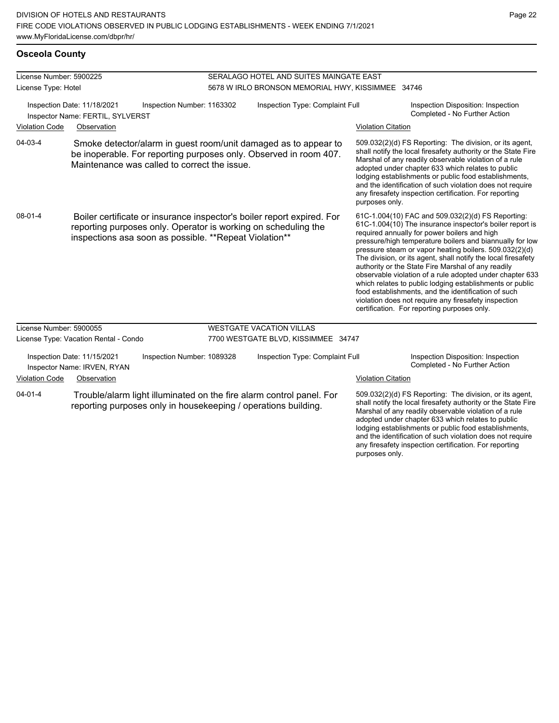any firesafety inspection certification. For reporting

purposes only.

## **Osceola County**

| License Number: 5900225 |                                                                                                                                                                                                     |                                              |                                 | SERALAGO HOTEL AND SUITES MAINGATE EAST                                                                                                |                                                                                                                                                                                                                                                                                                                                                                                                                                                                                                                                                                                                                                                                                                  |                                                                                                                                                                                                                                                                                                                                                                                                                        |
|-------------------------|-----------------------------------------------------------------------------------------------------------------------------------------------------------------------------------------------------|----------------------------------------------|---------------------------------|----------------------------------------------------------------------------------------------------------------------------------------|--------------------------------------------------------------------------------------------------------------------------------------------------------------------------------------------------------------------------------------------------------------------------------------------------------------------------------------------------------------------------------------------------------------------------------------------------------------------------------------------------------------------------------------------------------------------------------------------------------------------------------------------------------------------------------------------------|------------------------------------------------------------------------------------------------------------------------------------------------------------------------------------------------------------------------------------------------------------------------------------------------------------------------------------------------------------------------------------------------------------------------|
| License Type: Hotel     |                                                                                                                                                                                                     |                                              |                                 | 5678 W IRLO BRONSON MEMORIAL HWY, KISSIMMEE 34746                                                                                      |                                                                                                                                                                                                                                                                                                                                                                                                                                                                                                                                                                                                                                                                                                  |                                                                                                                                                                                                                                                                                                                                                                                                                        |
|                         | Inspection Date: 11/18/2021<br>Inspector Name: FERTIL, SYLVERST                                                                                                                                     | Inspection Number: 1163302                   | Inspection Type: Complaint Full |                                                                                                                                        |                                                                                                                                                                                                                                                                                                                                                                                                                                                                                                                                                                                                                                                                                                  | Inspection Disposition: Inspection<br>Completed - No Further Action                                                                                                                                                                                                                                                                                                                                                    |
| <b>Violation Code</b>   | Observation                                                                                                                                                                                         |                                              |                                 |                                                                                                                                        | <b>Violation Citation</b>                                                                                                                                                                                                                                                                                                                                                                                                                                                                                                                                                                                                                                                                        |                                                                                                                                                                                                                                                                                                                                                                                                                        |
| 04-03-4                 |                                                                                                                                                                                                     | Maintenance was called to correct the issue. |                                 | Smoke detector/alarm in guest room/unit damaged as to appear to<br>be inoperable. For reporting purposes only. Observed in room 407.   | purposes only.                                                                                                                                                                                                                                                                                                                                                                                                                                                                                                                                                                                                                                                                                   | 509.032(2)(d) FS Reporting: The division, or its agent,<br>shall notify the local firesafety authority or the State Fire<br>Marshal of any readily observable violation of a rule<br>adopted under chapter 633 which relates to public<br>lodging establishments or public food establishments,<br>and the identification of such violation does not require<br>any firesafety inspection certification. For reporting |
| $08 - 01 - 4$           | Boiler certificate or insurance inspector's boiler report expired. For<br>reporting purposes only. Operator is working on scheduling the<br>inspections asa soon as possible. ** Repeat Violation** |                                              |                                 |                                                                                                                                        | 61C-1.004(10) FAC and 509.032(2)(d) FS Reporting:<br>61C-1.004(10) The insurance inspector's boiler report is<br>required annually for power boilers and high<br>pressure/high temperature boilers and biannually for low<br>pressure steam or vapor heating boilers. 509.032(2)(d)<br>The division, or its agent, shall notify the local firesafety<br>authority or the State Fire Marshal of any readily<br>observable violation of a rule adopted under chapter 633<br>which relates to public lodging establishments or public<br>food establishments, and the identification of such<br>violation does not require any firesafety inspection<br>certification. For reporting purposes only. |                                                                                                                                                                                                                                                                                                                                                                                                                        |
| License Number: 5900055 |                                                                                                                                                                                                     |                                              |                                 | <b>WESTGATE VACATION VILLAS</b>                                                                                                        |                                                                                                                                                                                                                                                                                                                                                                                                                                                                                                                                                                                                                                                                                                  |                                                                                                                                                                                                                                                                                                                                                                                                                        |
|                         | License Type: Vacation Rental - Condo                                                                                                                                                               |                                              |                                 | 7700 WESTGATE BLVD, KISSIMMEE 34747                                                                                                    |                                                                                                                                                                                                                                                                                                                                                                                                                                                                                                                                                                                                                                                                                                  |                                                                                                                                                                                                                                                                                                                                                                                                                        |
|                         | Inspection Date: 11/15/2021<br>Inspector Name: IRVEN, RYAN                                                                                                                                          | Inspection Number: 1089328                   |                                 | Inspection Type: Complaint Full                                                                                                        |                                                                                                                                                                                                                                                                                                                                                                                                                                                                                                                                                                                                                                                                                                  | Inspection Disposition: Inspection<br>Completed - No Further Action                                                                                                                                                                                                                                                                                                                                                    |
| <b>Violation Code</b>   | Observation                                                                                                                                                                                         |                                              |                                 |                                                                                                                                        | <b>Violation Citation</b>                                                                                                                                                                                                                                                                                                                                                                                                                                                                                                                                                                                                                                                                        |                                                                                                                                                                                                                                                                                                                                                                                                                        |
| $04 - 01 - 4$           |                                                                                                                                                                                                     |                                              |                                 | Trouble/alarm light illuminated on the fire alarm control panel. For<br>reporting purposes only in housekeeping / operations building. |                                                                                                                                                                                                                                                                                                                                                                                                                                                                                                                                                                                                                                                                                                  | 509.032(2)(d) FS Reporting: The division, or its agent,<br>shall notify the local firesafety authority or the State Fire<br>Marshal of any readily observable violation of a rule<br>adopted under chapter 633 which relates to public<br>lodging establishments or public food establishments,<br>and the identification of such violation does not require                                                           |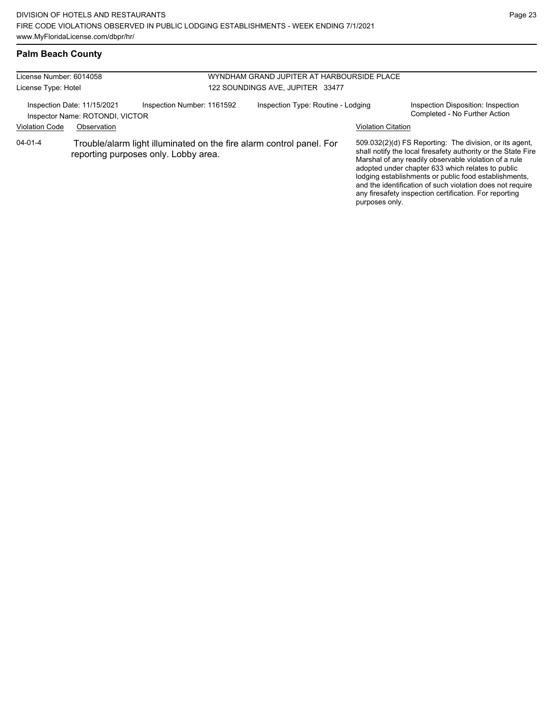### **Palm Beach County**

| License Number: 6014058 |                                                                |                                                                                                              |                                  | WYNDHAM GRAND JUPITER AT HARBOURSIDE PLACE |                           |                                                                                                                                                                                                                                                                                                                                                                                                                        |
|-------------------------|----------------------------------------------------------------|--------------------------------------------------------------------------------------------------------------|----------------------------------|--------------------------------------------|---------------------------|------------------------------------------------------------------------------------------------------------------------------------------------------------------------------------------------------------------------------------------------------------------------------------------------------------------------------------------------------------------------------------------------------------------------|
| License Type: Hotel     |                                                                |                                                                                                              | 122 SOUNDINGS AVE, JUPITER 33477 |                                            |                           |                                                                                                                                                                                                                                                                                                                                                                                                                        |
|                         | Inspection Date: 11/15/2021<br>Inspector Name: ROTONDI, VICTOR | Inspection Number: 1161592                                                                                   |                                  | Inspection Type: Routine - Lodging         |                           | Inspection Disposition: Inspection<br>Completed - No Further Action                                                                                                                                                                                                                                                                                                                                                    |
| <b>Violation Code</b>   | Observation                                                    |                                                                                                              |                                  |                                            | <b>Violation Citation</b> |                                                                                                                                                                                                                                                                                                                                                                                                                        |
| $04 - 01 - 4$           |                                                                | Trouble/alarm light illuminated on the fire alarm control panel. For<br>reporting purposes only. Lobby area. |                                  |                                            | purposes only.            | 509.032(2)(d) FS Reporting: The division, or its agent,<br>shall notify the local firesafety authority or the State Fire<br>Marshal of any readily observable violation of a rule<br>adopted under chapter 633 which relates to public<br>lodging establishments or public food establishments,<br>and the identification of such violation does not require<br>any firesafety inspection certification. For reporting |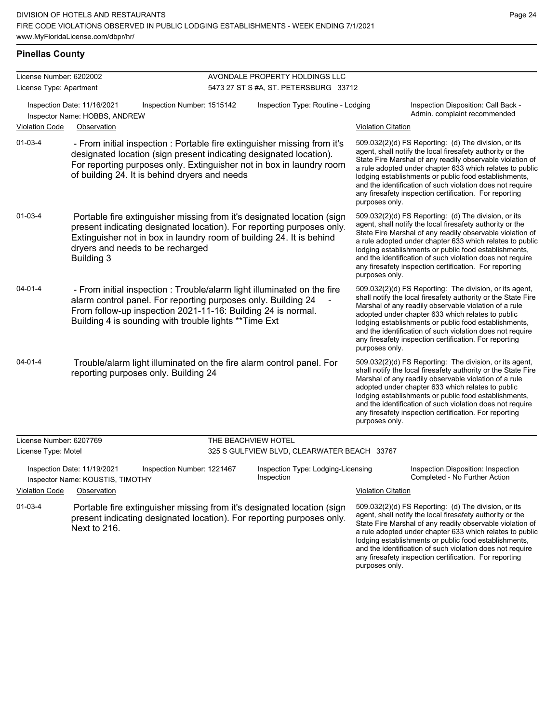and the identification of such violation does not require any firesafety inspection certification. For reporting

purposes only.

### **Pinellas County**

| License Number: 6202002 |                                                                                                                                                                                                                                                                                  |                     | AVONDALE PROPERTY HOLDINGS LLC                   |                           |                                                                                                                                                                                                                                                                                                                                                                                                                            |
|-------------------------|----------------------------------------------------------------------------------------------------------------------------------------------------------------------------------------------------------------------------------------------------------------------------------|---------------------|--------------------------------------------------|---------------------------|----------------------------------------------------------------------------------------------------------------------------------------------------------------------------------------------------------------------------------------------------------------------------------------------------------------------------------------------------------------------------------------------------------------------------|
| License Type: Apartment |                                                                                                                                                                                                                                                                                  |                     | 5473 27 ST S #A, ST. PETERSBURG 33712            |                           |                                                                                                                                                                                                                                                                                                                                                                                                                            |
|                         | Inspection Date: 11/16/2021<br>Inspection Number: 1515142<br>Inspector Name: HOBBS, ANDREW                                                                                                                                                                                       |                     | Inspection Type: Routine - Lodging               |                           | Inspection Disposition: Call Back -<br>Admin. complaint recommended                                                                                                                                                                                                                                                                                                                                                        |
| <b>Violation Code</b>   | Observation                                                                                                                                                                                                                                                                      |                     |                                                  | <b>Violation Citation</b> |                                                                                                                                                                                                                                                                                                                                                                                                                            |
| $01 - 03 - 4$           | - From initial inspection : Portable fire extinguisher missing from it's<br>designated location (sign present indicating designated location).<br>For reporting purposes only. Extinguisher not in box in laundry room<br>of building 24. It is behind dryers and needs          |                     |                                                  | purposes only.            | 509.032(2)(d) FS Reporting: (d) The division, or its<br>agent, shall notify the local firesafety authority or the<br>State Fire Marshal of any readily observable violation of<br>a rule adopted under chapter 633 which relates to public<br>lodging establishments or public food establishments,<br>and the identification of such violation does not require<br>any firesafety inspection certification. For reporting |
| $01 - 03 - 4$           | Portable fire extinguisher missing from it's designated location (sign<br>present indicating designated location). For reporting purposes only.<br>Extinguisher not in box in laundry room of building 24. It is behind<br>dryers and needs to be recharged<br><b>Building 3</b> |                     |                                                  | purposes only.            | 509.032(2)(d) FS Reporting: (d) The division, or its<br>agent, shall notify the local firesafety authority or the<br>State Fire Marshal of any readily observable violation of<br>a rule adopted under chapter 633 which relates to public<br>lodging establishments or public food establishments,<br>and the identification of such violation does not require<br>any firesafety inspection certification. For reporting |
| $04 - 01 - 4$           | - From initial inspection : Trouble/alarm light illuminated on the fire<br>alarm control panel. For reporting purposes only. Building 24<br>From follow-up inspection 2021-11-16: Building 24 is normal.<br>Building 4 is sounding with trouble lights ** Time Ext               |                     |                                                  | purposes only.            | 509.032(2)(d) FS Reporting: The division, or its agent,<br>shall notify the local firesafety authority or the State Fire<br>Marshal of any readily observable violation of a rule<br>adopted under chapter 633 which relates to public<br>lodging establishments or public food establishments,<br>and the identification of such violation does not require<br>any firesafety inspection certification. For reporting     |
| $04 - 01 - 4$           | Trouble/alarm light illuminated on the fire alarm control panel. For<br>reporting purposes only. Building 24                                                                                                                                                                     |                     |                                                  | purposes only.            | 509.032(2)(d) FS Reporting: The division, or its agent,<br>shall notify the local firesafety authority or the State Fire<br>Marshal of any readily observable violation of a rule<br>adopted under chapter 633 which relates to public<br>lodging establishments or public food establishments,<br>and the identification of such violation does not require<br>any firesafety inspection certification. For reporting     |
| License Number: 6207769 |                                                                                                                                                                                                                                                                                  | THE BEACHVIEW HOTEL |                                                  |                           |                                                                                                                                                                                                                                                                                                                                                                                                                            |
| License Type: Motel     |                                                                                                                                                                                                                                                                                  |                     | 325 S GULFVIEW BLVD, CLEARWATER BEACH 33767      |                           |                                                                                                                                                                                                                                                                                                                                                                                                                            |
|                         | Inspection Date: 11/19/2021<br>Inspection Number: 1221467<br>Inspector Name: KOUSTIS, TIMOTHY                                                                                                                                                                                    |                     | Inspection Type: Lodging-Licensing<br>Inspection |                           | Inspection Disposition: Inspection<br>Completed - No Further Action                                                                                                                                                                                                                                                                                                                                                        |
| <b>Violation Code</b>   | Observation                                                                                                                                                                                                                                                                      |                     |                                                  | <b>Violation Citation</b> |                                                                                                                                                                                                                                                                                                                                                                                                                            |
| $01 - 03 - 4$           | Portable fire extinguisher missing from it's designated location (sign<br>present indicating designated location). For reporting purposes only.<br>Next to 216.                                                                                                                  |                     |                                                  |                           | 509.032(2)(d) FS Reporting: (d) The division, or its<br>agent, shall notify the local firesafety authority or the<br>State Fire Marshal of any readily observable violation of<br>a rule adopted under chapter 633 which relates to public<br>lodging establishments or public food establishments,                                                                                                                        |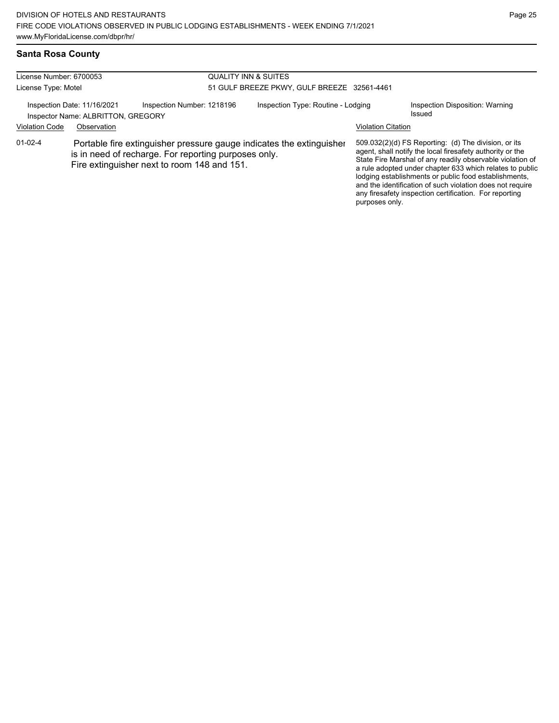# **Santa Rosa County**

| License Number: 6700053 |                                                                   |                                                                                                                                                                             | <b>QUALITY INN &amp; SUITES</b><br>51 GULF BREEZE PKWY, GULF BREEZE 32561-4461 |                           |                                                                                                                                                                                                                                                                                                                                                                                                                            |  |  |
|-------------------------|-------------------------------------------------------------------|-----------------------------------------------------------------------------------------------------------------------------------------------------------------------------|--------------------------------------------------------------------------------|---------------------------|----------------------------------------------------------------------------------------------------------------------------------------------------------------------------------------------------------------------------------------------------------------------------------------------------------------------------------------------------------------------------------------------------------------------------|--|--|
| License Type: Motel     |                                                                   |                                                                                                                                                                             |                                                                                |                           |                                                                                                                                                                                                                                                                                                                                                                                                                            |  |  |
|                         | Inspection Date: 11/16/2021<br>Inspector Name: ALBRITTON, GREGORY | Inspection Number: 1218196                                                                                                                                                  | Inspection Type: Routine - Lodging                                             |                           | Inspection Disposition: Warning<br>Issued                                                                                                                                                                                                                                                                                                                                                                                  |  |  |
| <b>Violation Code</b>   | Observation                                                       |                                                                                                                                                                             |                                                                                | <b>Violation Citation</b> |                                                                                                                                                                                                                                                                                                                                                                                                                            |  |  |
| $01-02-4$               |                                                                   | Portable fire extinguisher pressure gauge indicates the extinguisher<br>is in need of recharge. For reporting purposes only.<br>Fire extinguisher next to room 148 and 151. |                                                                                | purposes only.            | 509.032(2)(d) FS Reporting: (d) The division, or its<br>agent, shall notify the local firesafety authority or the<br>State Fire Marshal of any readily observable violation of<br>a rule adopted under chapter 633 which relates to public<br>lodging establishments or public food establishments,<br>and the identification of such violation does not require<br>any firesafety inspection certification. For reporting |  |  |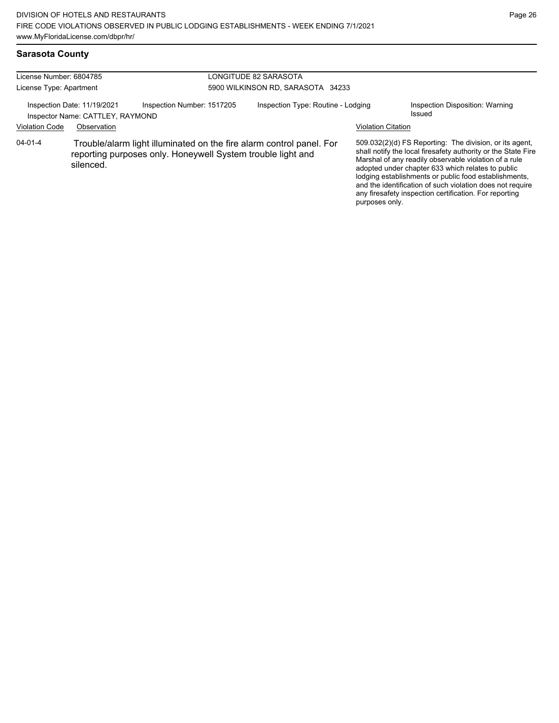### **Sarasota County**

| License Number: 6804785<br>License Type: Apartment |                                                                                | LONGITUDE 82 SARASOTA<br>5900 WILKINSON RD, SARASOTA 34233                                                                          |  |                                    |                                                                                                                                                                                                                                                                                                                                                                                                                                          |                                           |
|----------------------------------------------------|--------------------------------------------------------------------------------|-------------------------------------------------------------------------------------------------------------------------------------|--|------------------------------------|------------------------------------------------------------------------------------------------------------------------------------------------------------------------------------------------------------------------------------------------------------------------------------------------------------------------------------------------------------------------------------------------------------------------------------------|-------------------------------------------|
| <b>Violation Code</b>                              | Inspection Date: 11/19/2021<br>Inspector Name: CATTLEY, RAYMOND<br>Observation | Inspection Number: 1517205                                                                                                          |  | Inspection Type: Routine - Lodging | <b>Violation Citation</b>                                                                                                                                                                                                                                                                                                                                                                                                                | Inspection Disposition: Warning<br>Issued |
| $04 - 01 - 4$                                      | silenced.                                                                      | Trouble/alarm light illuminated on the fire alarm control panel. For<br>reporting purposes only. Honeywell System trouble light and |  |                                    | 509.032(2)(d) FS Reporting: The division, or its agent,<br>shall notify the local firesafety authority or the State Fire<br>Marshal of any readily observable violation of a rule<br>adopted under chapter 633 which relates to public<br>lodging establishments or public food establishments,<br>and the identification of such violation does not require<br>any firesafety inspection certification. For reporting<br>purposes only. |                                           |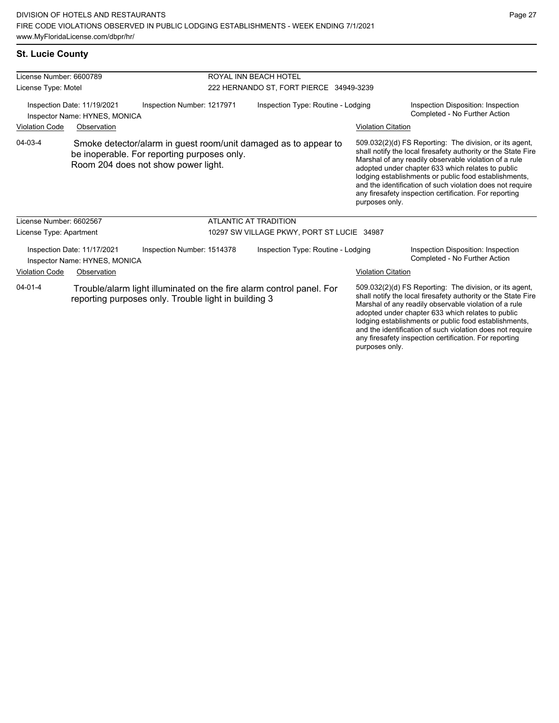### **St. Lucie County**

| License Number: 6600789                                               |                                                                                                                                                       |                            | ROYAL INN BEACH HOTEL                                                |                                                                                                                                                                                                                                                                                                                                                                                                                                          |                                                                                                                                                                                                                                                                                                                                                              |  |  |
|-----------------------------------------------------------------------|-------------------------------------------------------------------------------------------------------------------------------------------------------|----------------------------|----------------------------------------------------------------------|------------------------------------------------------------------------------------------------------------------------------------------------------------------------------------------------------------------------------------------------------------------------------------------------------------------------------------------------------------------------------------------------------------------------------------------|--------------------------------------------------------------------------------------------------------------------------------------------------------------------------------------------------------------------------------------------------------------------------------------------------------------------------------------------------------------|--|--|
| License Type: Motel                                                   |                                                                                                                                                       |                            | 222 HERNANDO ST, FORT PIERCE 34949-3239                              |                                                                                                                                                                                                                                                                                                                                                                                                                                          |                                                                                                                                                                                                                                                                                                                                                              |  |  |
| Inspection Date: 11/19/2021<br>Inspector Name: HYNES, MONICA          |                                                                                                                                                       | Inspection Number: 1217971 | Inspection Type: Routine - Lodging                                   |                                                                                                                                                                                                                                                                                                                                                                                                                                          | Inspection Disposition: Inspection<br>Completed - No Further Action                                                                                                                                                                                                                                                                                          |  |  |
| <b>Violation Code</b>                                                 | Observation                                                                                                                                           |                            |                                                                      | <b>Violation Citation</b>                                                                                                                                                                                                                                                                                                                                                                                                                |                                                                                                                                                                                                                                                                                                                                                              |  |  |
| 04-03-4                                                               | Smoke detector/alarm in guest room/unit damaged as to appear to<br>be inoperable. For reporting purposes only.<br>Room 204 does not show power light. |                            |                                                                      | 509.032(2)(d) FS Reporting: The division, or its agent,<br>shall notify the local firesafety authority or the State Fire<br>Marshal of any readily observable violation of a rule<br>adopted under chapter 633 which relates to public<br>lodging establishments or public food establishments,<br>and the identification of such violation does not require<br>any firesafety inspection certification. For reporting<br>purposes only. |                                                                                                                                                                                                                                                                                                                                                              |  |  |
| License Number: 6602567                                               |                                                                                                                                                       |                            | <b>ATLANTIC AT TRADITION</b>                                         |                                                                                                                                                                                                                                                                                                                                                                                                                                          |                                                                                                                                                                                                                                                                                                                                                              |  |  |
| License Type: Apartment                                               |                                                                                                                                                       |                            | 10297 SW VILLAGE PKWY, PORT ST LUCIE 34987                           |                                                                                                                                                                                                                                                                                                                                                                                                                                          |                                                                                                                                                                                                                                                                                                                                                              |  |  |
| Inspection Date: 11/17/2021<br>Inspector Name: HYNES, MONICA          |                                                                                                                                                       | Inspection Number: 1514378 | Inspection Type: Routine - Lodging                                   |                                                                                                                                                                                                                                                                                                                                                                                                                                          | Inspection Disposition: Inspection<br>Completed - No Further Action                                                                                                                                                                                                                                                                                          |  |  |
| <b>Violation Code</b>                                                 | Observation                                                                                                                                           |                            |                                                                      | <b>Violation Citation</b>                                                                                                                                                                                                                                                                                                                                                                                                                |                                                                                                                                                                                                                                                                                                                                                              |  |  |
| $04 - 01 - 4$<br>reporting purposes only. Trouble light in building 3 |                                                                                                                                                       |                            | Trouble/alarm light illuminated on the fire alarm control panel. For |                                                                                                                                                                                                                                                                                                                                                                                                                                          | 509.032(2)(d) FS Reporting: The division, or its agent,<br>shall notify the local firesafety authority or the State Fire<br>Marshal of any readily observable violation of a rule<br>adopted under chapter 633 which relates to public<br>lodging establishments or public food establishments,<br>and the identification of such violation does not require |  |  |

any firesafety inspection certification. For reporting